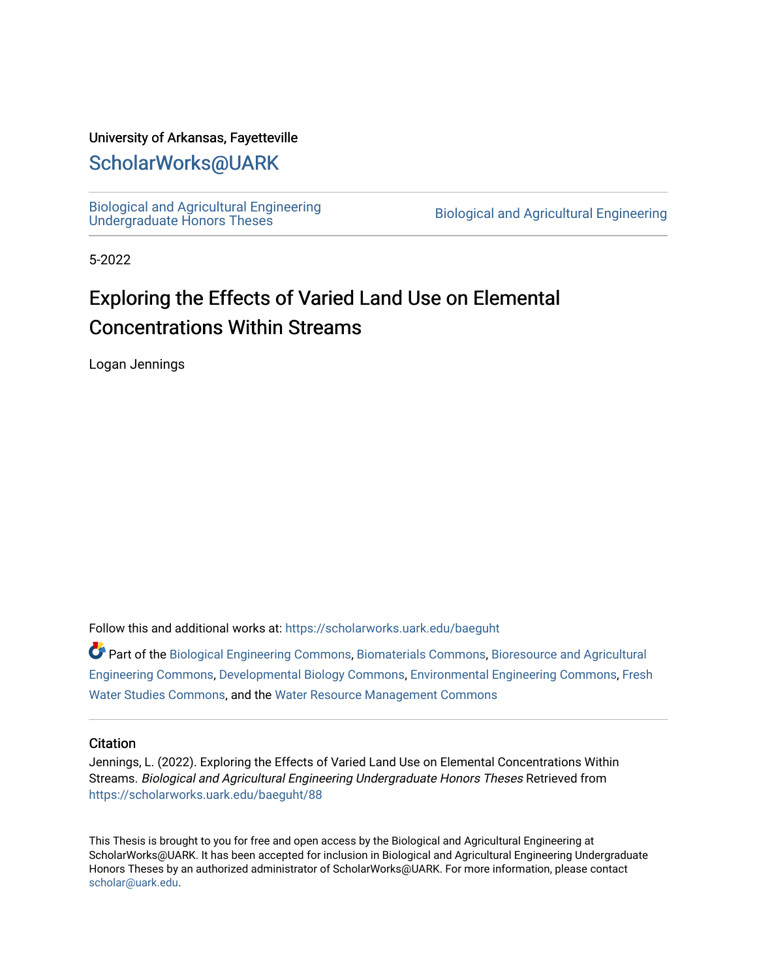### University of Arkansas, Fayetteville

# [ScholarWorks@UARK](https://scholarworks.uark.edu/)

[Biological and Agricultural Engineering](https://scholarworks.uark.edu/baeguht) 

Biological and Agricultural Engineering

5-2022

# Exploring the Effects of Varied Land Use on Elemental Concentrations Within Streams

Logan Jennings

Follow this and additional works at: [https://scholarworks.uark.edu/baeguht](https://scholarworks.uark.edu/baeguht?utm_source=scholarworks.uark.edu%2Fbaeguht%2F88&utm_medium=PDF&utm_campaign=PDFCoverPages) 

Part of the [Biological Engineering Commons](http://network.bepress.com/hgg/discipline/230?utm_source=scholarworks.uark.edu%2Fbaeguht%2F88&utm_medium=PDF&utm_campaign=PDFCoverPages), [Biomaterials Commons](http://network.bepress.com/hgg/discipline/233?utm_source=scholarworks.uark.edu%2Fbaeguht%2F88&utm_medium=PDF&utm_campaign=PDFCoverPages), [Bioresource and Agricultural](http://network.bepress.com/hgg/discipline/1056?utm_source=scholarworks.uark.edu%2Fbaeguht%2F88&utm_medium=PDF&utm_campaign=PDFCoverPages) [Engineering Commons,](http://network.bepress.com/hgg/discipline/1056?utm_source=scholarworks.uark.edu%2Fbaeguht%2F88&utm_medium=PDF&utm_campaign=PDFCoverPages) [Developmental Biology Commons,](http://network.bepress.com/hgg/discipline/11?utm_source=scholarworks.uark.edu%2Fbaeguht%2F88&utm_medium=PDF&utm_campaign=PDFCoverPages) [Environmental Engineering Commons](http://network.bepress.com/hgg/discipline/254?utm_source=scholarworks.uark.edu%2Fbaeguht%2F88&utm_medium=PDF&utm_campaign=PDFCoverPages), [Fresh](http://network.bepress.com/hgg/discipline/189?utm_source=scholarworks.uark.edu%2Fbaeguht%2F88&utm_medium=PDF&utm_campaign=PDFCoverPages) [Water Studies Commons](http://network.bepress.com/hgg/discipline/189?utm_source=scholarworks.uark.edu%2Fbaeguht%2F88&utm_medium=PDF&utm_campaign=PDFCoverPages), and the [Water Resource Management Commons](http://network.bepress.com/hgg/discipline/1057?utm_source=scholarworks.uark.edu%2Fbaeguht%2F88&utm_medium=PDF&utm_campaign=PDFCoverPages) 

#### **Citation**

Jennings, L. (2022). Exploring the Effects of Varied Land Use on Elemental Concentrations Within Streams. Biological and Agricultural Engineering Undergraduate Honors Theses Retrieved from [https://scholarworks.uark.edu/baeguht/88](https://scholarworks.uark.edu/baeguht/88?utm_source=scholarworks.uark.edu%2Fbaeguht%2F88&utm_medium=PDF&utm_campaign=PDFCoverPages) 

This Thesis is brought to you for free and open access by the Biological and Agricultural Engineering at ScholarWorks@UARK. It has been accepted for inclusion in Biological and Agricultural Engineering Undergraduate Honors Theses by an authorized administrator of ScholarWorks@UARK. For more information, please contact [scholar@uark.edu](mailto:scholar@uark.edu).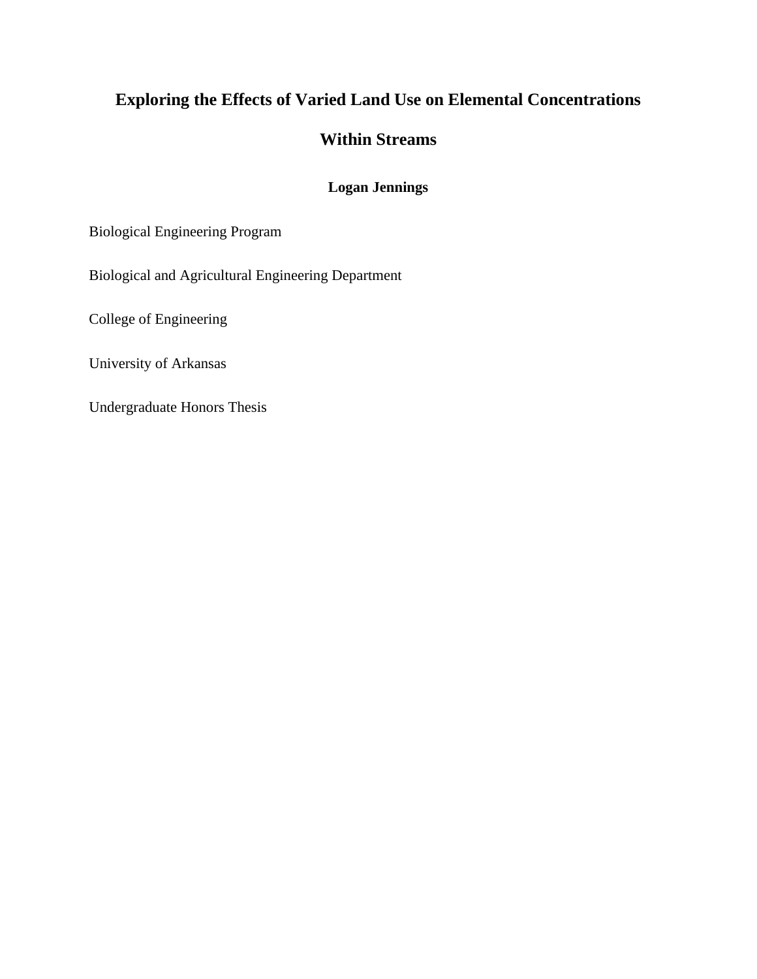# **Exploring the Effects of Varied Land Use on Elemental Concentrations**

## **Within Streams**

## **Logan Jennings**

Biological Engineering Program

Biological and Agricultural Engineering Department

College of Engineering

University of Arkansas

Undergraduate Honors Thesis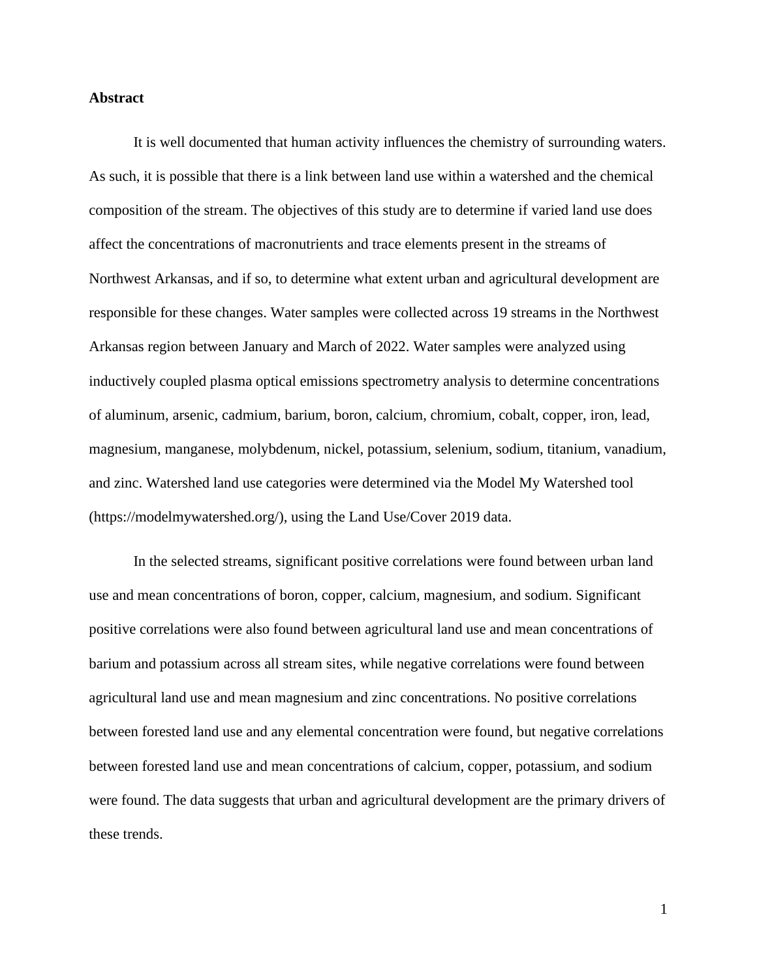#### **Abstract**

It is well documented that human activity influences the chemistry of surrounding waters. As such, it is possible that there is a link between land use within a watershed and the chemical composition of the stream. The objectives of this study are to determine if varied land use does affect the concentrations of macronutrients and trace elements present in the streams of Northwest Arkansas, and if so, to determine what extent urban and agricultural development are responsible for these changes. Water samples were collected across 19 streams in the Northwest Arkansas region between January and March of 2022. Water samples were analyzed using inductively coupled plasma optical emissions spectrometry analysis to determine concentrations of aluminum, arsenic, cadmium, barium, boron, calcium, chromium, cobalt, copper, iron, lead, magnesium, manganese, molybdenum, nickel, potassium, selenium, sodium, titanium, vanadium, and zinc. Watershed land use categories were determined via the Model My Watershed tool (https://modelmywatershed.org/), using the Land Use/Cover 2019 data.

In the selected streams, significant positive correlations were found between urban land use and mean concentrations of boron, copper, calcium, magnesium, and sodium. Significant positive correlations were also found between agricultural land use and mean concentrations of barium and potassium across all stream sites, while negative correlations were found between agricultural land use and mean magnesium and zinc concentrations. No positive correlations between forested land use and any elemental concentration were found, but negative correlations between forested land use and mean concentrations of calcium, copper, potassium, and sodium were found. The data suggests that urban and agricultural development are the primary drivers of these trends.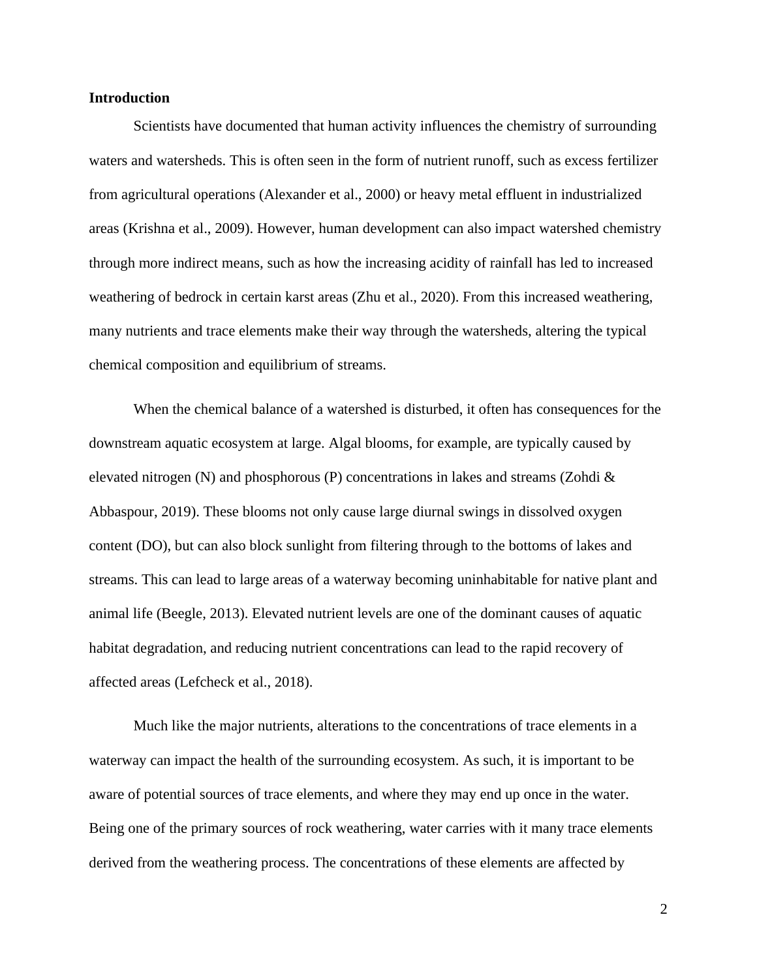#### **Introduction**

Scientists have documented that human activity influences the chemistry of surrounding waters and watersheds. This is often seen in the form of nutrient runoff, such as excess fertilizer from agricultural operations (Alexander et al., 2000) or heavy metal effluent in industrialized areas (Krishna et al., 2009). However, human development can also impact watershed chemistry through more indirect means, such as how the increasing acidity of rainfall has led to increased weathering of bedrock in certain karst areas (Zhu et al., 2020). From this increased weathering, many nutrients and trace elements make their way through the watersheds, altering the typical chemical composition and equilibrium of streams.

When the chemical balance of a watershed is disturbed, it often has consequences for the downstream aquatic ecosystem at large. Algal blooms, for example, are typically caused by elevated nitrogen (N) and phosphorous (P) concentrations in lakes and streams (Zohdi  $\&$ Abbaspour, 2019). These blooms not only cause large diurnal swings in dissolved oxygen content (DO), but can also block sunlight from filtering through to the bottoms of lakes and streams. This can lead to large areas of a waterway becoming uninhabitable for native plant and animal life (Beegle, 2013). Elevated nutrient levels are one of the dominant causes of aquatic habitat degradation, and reducing nutrient concentrations can lead to the rapid recovery of affected areas (Lefcheck et al., 2018).

Much like the major nutrients, alterations to the concentrations of trace elements in a waterway can impact the health of the surrounding ecosystem. As such, it is important to be aware of potential sources of trace elements, and where they may end up once in the water. Being one of the primary sources of rock weathering, water carries with it many trace elements derived from the weathering process. The concentrations of these elements are affected by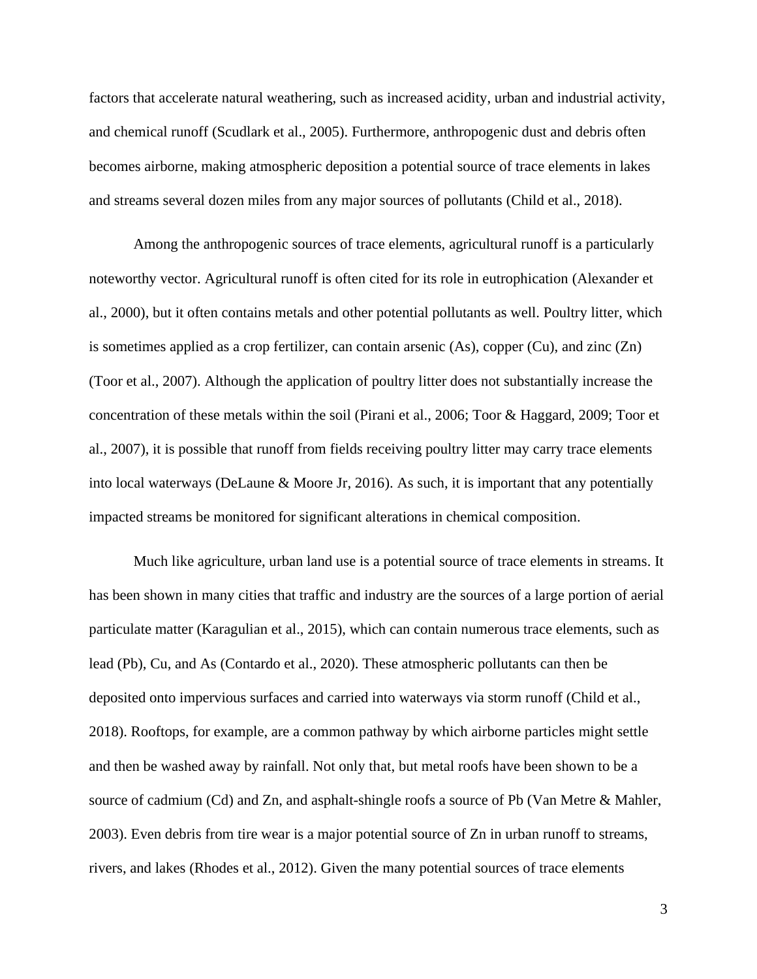factors that accelerate natural weathering, such as increased acidity, urban and industrial activity, and chemical runoff (Scudlark et al., 2005). Furthermore, anthropogenic dust and debris often becomes airborne, making atmospheric deposition a potential source of trace elements in lakes and streams several dozen miles from any major sources of pollutants (Child et al., 2018).

Among the anthropogenic sources of trace elements, agricultural runoff is a particularly noteworthy vector. Agricultural runoff is often cited for its role in eutrophication (Alexander et al., 2000), but it often contains metals and other potential pollutants as well. Poultry litter, which is sometimes applied as a crop fertilizer, can contain arsenic (As), copper (Cu), and zinc (Zn) (Toor et al., 2007). Although the application of poultry litter does not substantially increase the concentration of these metals within the soil (Pirani et al., 2006; Toor & Haggard, 2009; Toor et al., 2007), it is possible that runoff from fields receiving poultry litter may carry trace elements into local waterways (DeLaune & Moore Jr, 2016). As such, it is important that any potentially impacted streams be monitored for significant alterations in chemical composition.

Much like agriculture, urban land use is a potential source of trace elements in streams. It has been shown in many cities that traffic and industry are the sources of a large portion of aerial particulate matter (Karagulian et al., 2015), which can contain numerous trace elements, such as lead (Pb), Cu, and As (Contardo et al., 2020). These atmospheric pollutants can then be deposited onto impervious surfaces and carried into waterways via storm runoff (Child et al., 2018). Rooftops, for example, are a common pathway by which airborne particles might settle and then be washed away by rainfall. Not only that, but metal roofs have been shown to be a source of cadmium (Cd) and Zn, and asphalt-shingle roofs a source of Pb (Van Metre & Mahler, 2003). Even debris from tire wear is a major potential source of Zn in urban runoff to streams, rivers, and lakes (Rhodes et al., 2012). Given the many potential sources of trace elements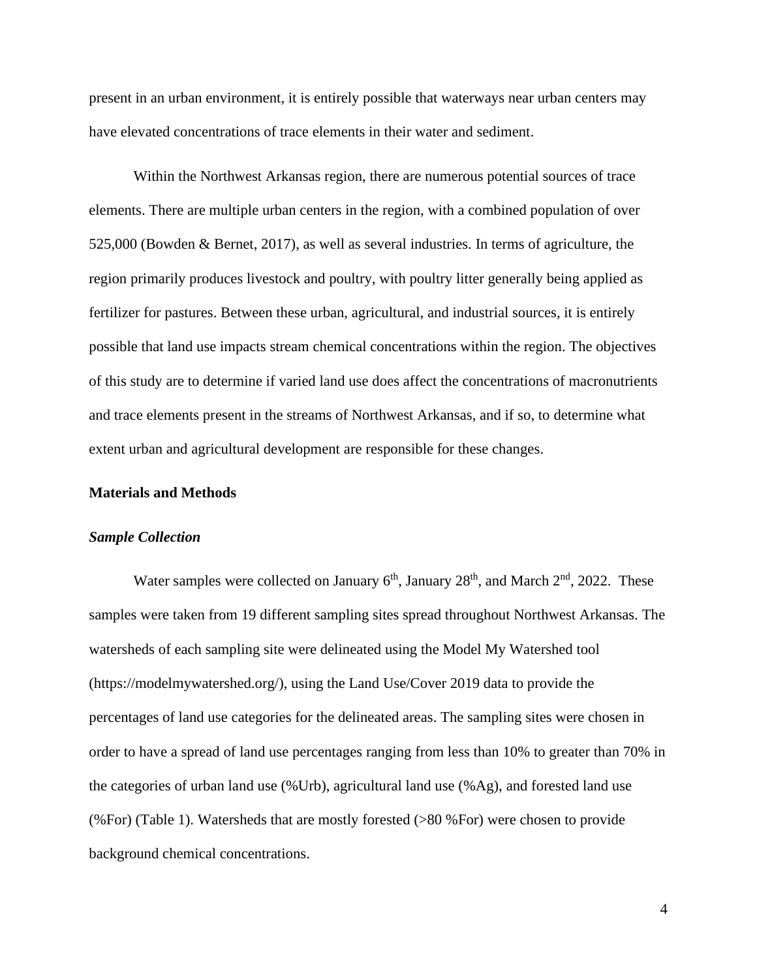present in an urban environment, it is entirely possible that waterways near urban centers may have elevated concentrations of trace elements in their water and sediment.

Within the Northwest Arkansas region, there are numerous potential sources of trace elements. There are multiple urban centers in the region, with a combined population of over 525,000 (Bowden & Bernet, 2017), as well as several industries. In terms of agriculture, the region primarily produces livestock and poultry, with poultry litter generally being applied as fertilizer for pastures. Between these urban, agricultural, and industrial sources, it is entirely possible that land use impacts stream chemical concentrations within the region. The objectives of this study are to determine if varied land use does affect the concentrations of macronutrients and trace elements present in the streams of Northwest Arkansas, and if so, to determine what extent urban and agricultural development are responsible for these changes.

#### **Materials and Methods**

#### *Sample Collection*

Water samples were collected on January  $6<sup>th</sup>$ , January  $28<sup>th</sup>$ , and March  $2<sup>nd</sup>$ ,  $2022$ . These samples were taken from 19 different sampling sites spread throughout Northwest Arkansas. The watersheds of each sampling site were delineated using the Model My Watershed tool (https://modelmywatershed.org/), using the Land Use/Cover 2019 data to provide the percentages of land use categories for the delineated areas. The sampling sites were chosen in order to have a spread of land use percentages ranging from less than 10% to greater than 70% in the categories of urban land use (%Urb), agricultural land use (%Ag), and forested land use (%For) (Table 1). Watersheds that are mostly forested (>80 %For) were chosen to provide background chemical concentrations.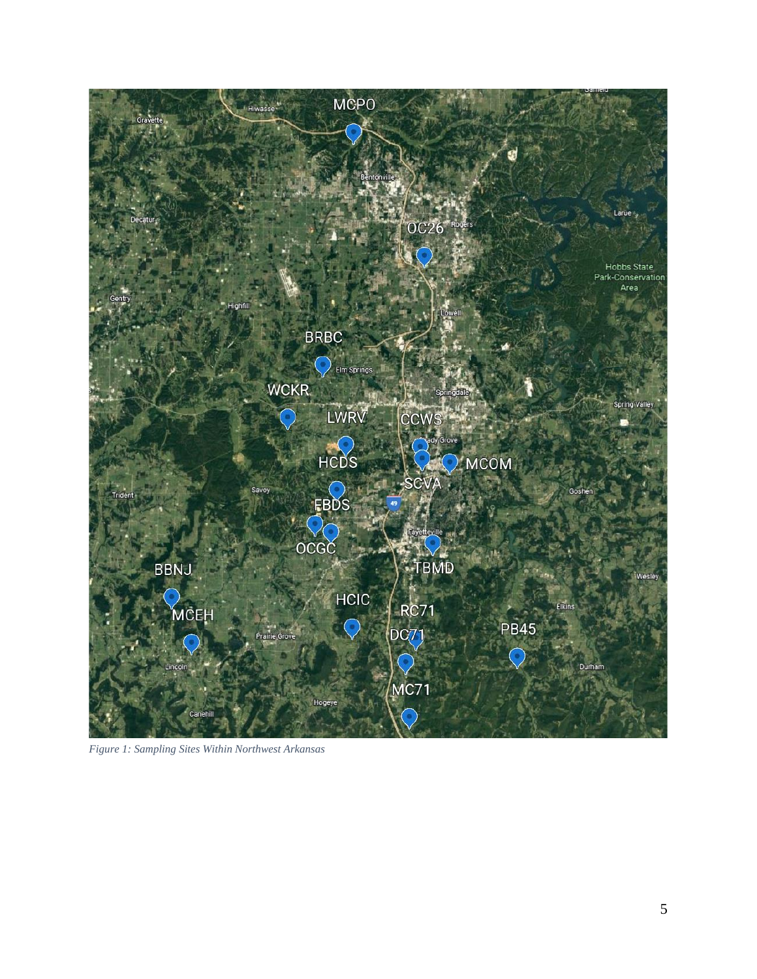

*Figure 1: Sampling Sites Within Northwest Arkansas*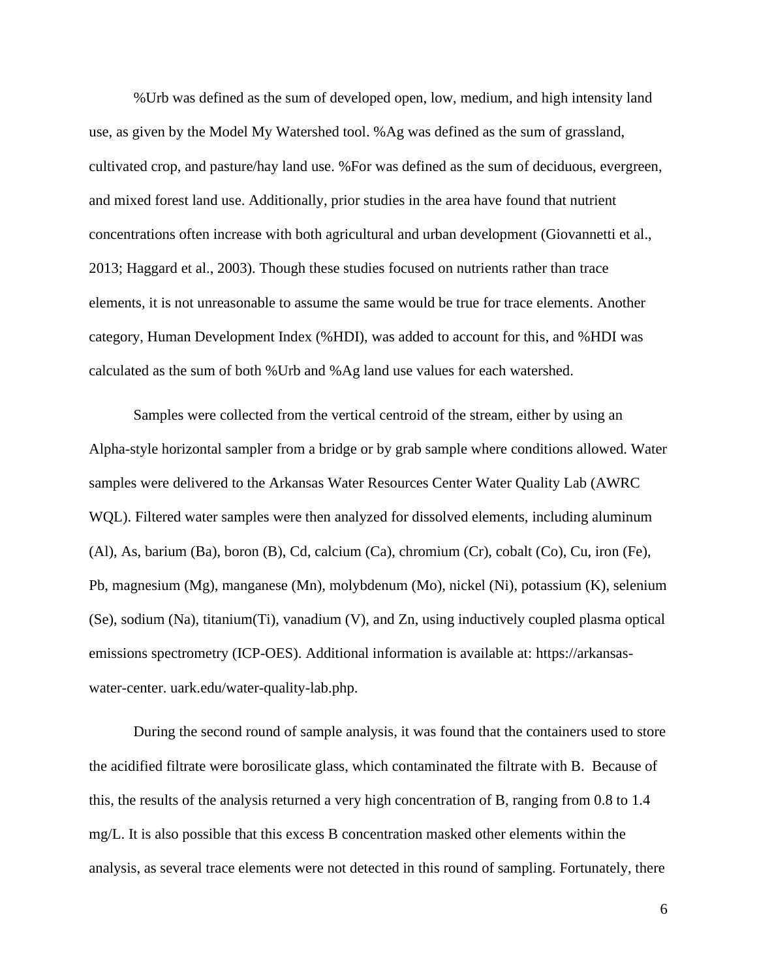%Urb was defined as the sum of developed open, low, medium, and high intensity land use, as given by the Model My Watershed tool. %Ag was defined as the sum of grassland, cultivated crop, and pasture/hay land use. %For was defined as the sum of deciduous, evergreen, and mixed forest land use. Additionally, prior studies in the area have found that nutrient concentrations often increase with both agricultural and urban development (Giovannetti et al., 2013; Haggard et al., 2003). Though these studies focused on nutrients rather than trace elements, it is not unreasonable to assume the same would be true for trace elements. Another category, Human Development Index (%HDI), was added to account for this, and %HDI was calculated as the sum of both %Urb and %Ag land use values for each watershed.

Samples were collected from the vertical centroid of the stream, either by using an Alpha-style horizontal sampler from a bridge or by grab sample where conditions allowed. Water samples were delivered to the Arkansas Water Resources Center Water Quality Lab (AWRC WQL). Filtered water samples were then analyzed for dissolved elements, including aluminum (Al), As, barium (Ba), boron (B), Cd, calcium (Ca), chromium (Cr), cobalt (Co), Cu, iron (Fe), Pb, magnesium (Mg), manganese (Mn), molybdenum (Mo), nickel (Ni), potassium (K), selenium (Se), sodium (Na), titanium(Ti), vanadium (V), and Zn, using inductively coupled plasma optical emissions spectrometry (ICP-OES). Additional information is available at: https://arkansaswater-center. uark.edu/water-quality-lab.php.

During the second round of sample analysis, it was found that the containers used to store the acidified filtrate were borosilicate glass, which contaminated the filtrate with B. Because of this, the results of the analysis returned a very high concentration of B, ranging from 0.8 to 1.4 mg/L. It is also possible that this excess B concentration masked other elements within the analysis, as several trace elements were not detected in this round of sampling. Fortunately, there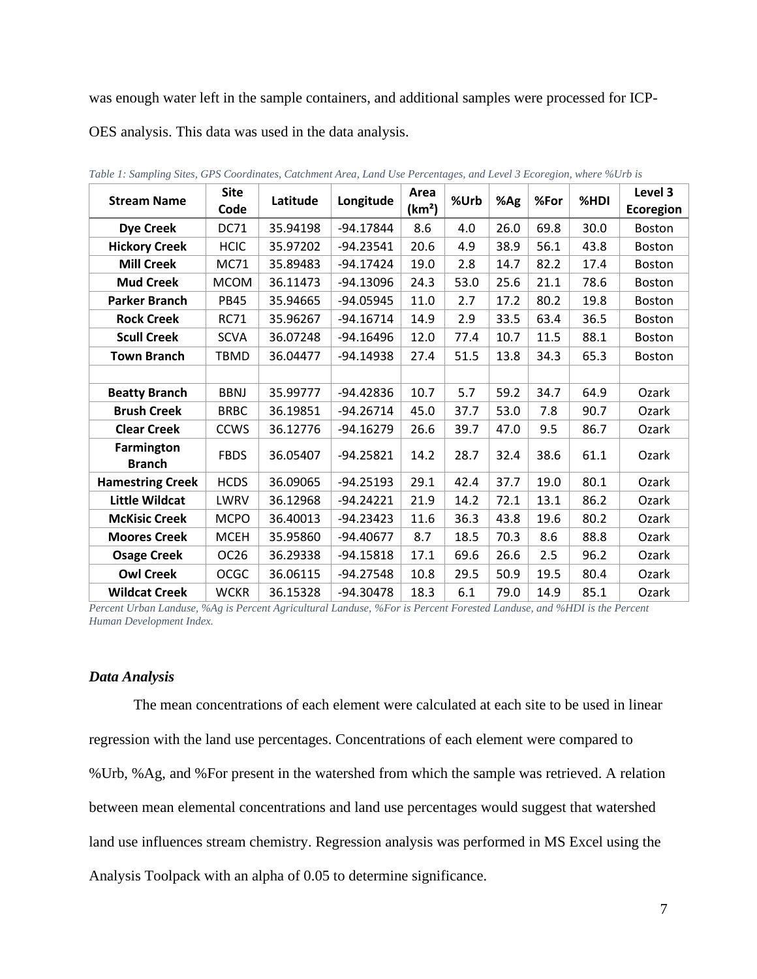was enough water left in the sample containers, and additional samples were processed for ICP-

OES analysis. This data was used in the data analysis.

| <b>Stream Name</b>          | <b>Site</b><br>Code | Latitude | Longitude   | Area<br>(km <sup>2</sup> ) | %Urb | %Ag  | %For | %HDI | Level 3<br>Ecoregion |
|-----------------------------|---------------------|----------|-------------|----------------------------|------|------|------|------|----------------------|
| <b>Dye Creek</b>            | <b>DC71</b>         | 35.94198 | $-94.17844$ | 8.6                        | 4.0  | 26.0 | 69.8 | 30.0 | <b>Boston</b>        |
| <b>Hickory Creek</b>        | <b>HCIC</b>         | 35.97202 | $-94.23541$ | 20.6                       | 4.9  | 38.9 | 56.1 | 43.8 | <b>Boston</b>        |
| <b>Mill Creek</b>           | <b>MC71</b>         | 35.89483 | $-94.17424$ | 19.0                       | 2.8  | 14.7 | 82.2 | 17.4 | <b>Boston</b>        |
| <b>Mud Creek</b>            | <b>MCOM</b>         | 36.11473 | -94.13096   | 24.3                       | 53.0 | 25.6 | 21.1 | 78.6 | <b>Boston</b>        |
| <b>Parker Branch</b>        | <b>PB45</b>         | 35.94665 | -94.05945   | 11.0                       | 2.7  | 17.2 | 80.2 | 19.8 | <b>Boston</b>        |
| <b>Rock Creek</b>           | <b>RC71</b>         | 35.96267 | $-94.16714$ | 14.9                       | 2.9  | 33.5 | 63.4 | 36.5 | <b>Boston</b>        |
| <b>Scull Creek</b>          | <b>SCVA</b>         | 36.07248 | $-94.16496$ | 12.0                       | 77.4 | 10.7 | 11.5 | 88.1 | <b>Boston</b>        |
| <b>Town Branch</b>          | <b>TBMD</b>         | 36.04477 | $-94.14938$ | 27.4                       | 51.5 | 13.8 | 34.3 | 65.3 | <b>Boston</b>        |
|                             |                     |          |             |                            |      |      |      |      |                      |
| <b>Beatty Branch</b>        | <b>BBNJ</b>         | 35.99777 | -94.42836   | 10.7                       | 5.7  | 59.2 | 34.7 | 64.9 | Ozark                |
| <b>Brush Creek</b>          | <b>BRBC</b>         | 36.19851 | $-94.26714$ | 45.0                       | 37.7 | 53.0 | 7.8  | 90.7 | Ozark                |
| <b>Clear Creek</b>          | <b>CCWS</b>         | 36.12776 | $-94.16279$ | 26.6                       | 39.7 | 47.0 | 9.5  | 86.7 | Ozark                |
| Farmington<br><b>Branch</b> | <b>FBDS</b>         | 36.05407 | $-94.25821$ | 14.2                       | 28.7 | 32.4 | 38.6 | 61.1 | Ozark                |
| <b>Hamestring Creek</b>     | <b>HCDS</b>         | 36.09065 | $-94.25193$ | 29.1                       | 42.4 | 37.7 | 19.0 | 80.1 | Ozark                |
| <b>Little Wildcat</b>       | LWRV                | 36.12968 | $-94.24221$ | 21.9                       | 14.2 | 72.1 | 13.1 | 86.2 | Ozark                |
| <b>McKisic Creek</b>        | <b>MCPO</b>         | 36.40013 | $-94.23423$ | 11.6                       | 36.3 | 43.8 | 19.6 | 80.2 | Ozark                |
| <b>Moores Creek</b>         | <b>MCEH</b>         | 35.95860 | -94.40677   | 8.7                        | 18.5 | 70.3 | 8.6  | 88.8 | Ozark                |
| <b>Osage Creek</b>          | OC <sub>26</sub>    | 36.29338 | $-94.15818$ | 17.1                       | 69.6 | 26.6 | 2.5  | 96.2 | Ozark                |
| <b>Owl Creek</b>            | <b>OCGC</b>         | 36.06115 | $-94.27548$ | 10.8                       | 29.5 | 50.9 | 19.5 | 80.4 | Ozark                |
| <b>Wildcat Creek</b>        | <b>WCKR</b>         | 36.15328 | -94.30478   | 18.3                       | 6.1  | 79.0 | 14.9 | 85.1 | Ozark                |

*Table 1: Sampling Sites, GPS Coordinates, Catchment Area, Land Use Percentages, and Level 3 Ecoregion, where %Urb is* 

*Percent Urban Landuse, %Ag is Percent Agricultural Landuse, %For is Percent Forested Landuse, and %HDI is the Percent Human Development Index.*

#### *Data Analysis*

The mean concentrations of each element were calculated at each site to be used in linear regression with the land use percentages. Concentrations of each element were compared to %Urb, %Ag, and %For present in the watershed from which the sample was retrieved. A relation between mean elemental concentrations and land use percentages would suggest that watershed land use influences stream chemistry. Regression analysis was performed in MS Excel using the Analysis Toolpack with an alpha of 0.05 to determine significance.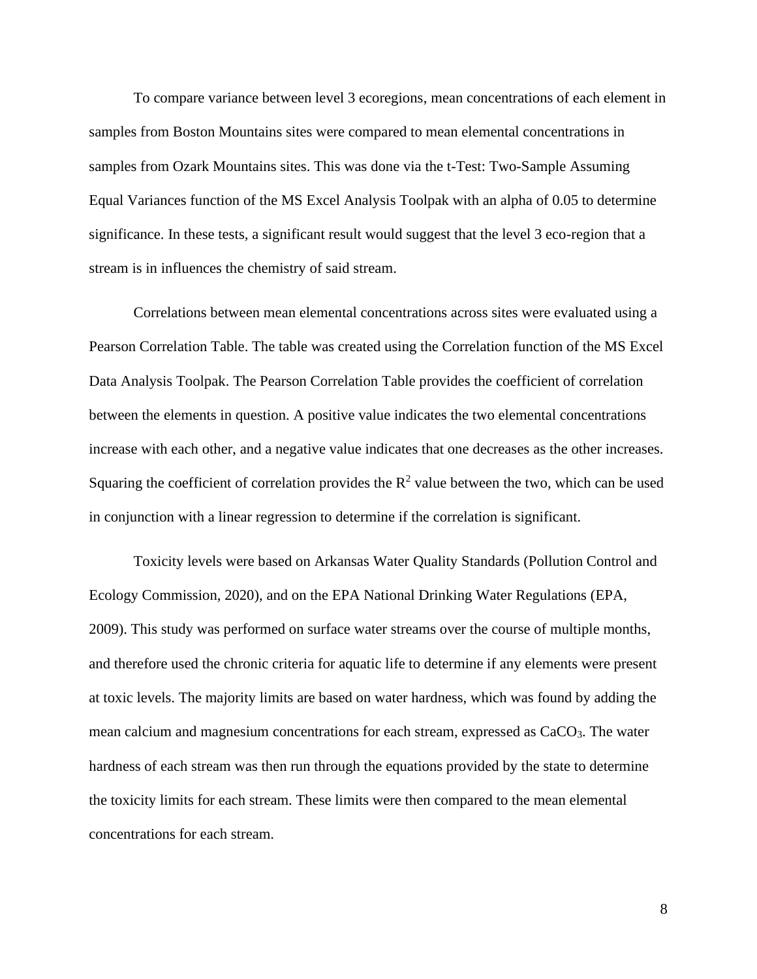To compare variance between level 3 ecoregions, mean concentrations of each element in samples from Boston Mountains sites were compared to mean elemental concentrations in samples from Ozark Mountains sites. This was done via the t-Test: Two-Sample Assuming Equal Variances function of the MS Excel Analysis Toolpak with an alpha of 0.05 to determine significance. In these tests, a significant result would suggest that the level 3 eco-region that a stream is in influences the chemistry of said stream.

Correlations between mean elemental concentrations across sites were evaluated using a Pearson Correlation Table. The table was created using the Correlation function of the MS Excel Data Analysis Toolpak. The Pearson Correlation Table provides the coefficient of correlation between the elements in question. A positive value indicates the two elemental concentrations increase with each other, and a negative value indicates that one decreases as the other increases. Squaring the coefficient of correlation provides the  $\mathbb{R}^2$  value between the two, which can be used in conjunction with a linear regression to determine if the correlation is significant.

Toxicity levels were based on Arkansas Water Quality Standards (Pollution Control and Ecology Commission, 2020), and on the EPA National Drinking Water Regulations (EPA, 2009). This study was performed on surface water streams over the course of multiple months, and therefore used the chronic criteria for aquatic life to determine if any elements were present at toxic levels. The majority limits are based on water hardness, which was found by adding the mean calcium and magnesium concentrations for each stream, expressed as CaCO3. The water hardness of each stream was then run through the equations provided by the state to determine the toxicity limits for each stream. These limits were then compared to the mean elemental concentrations for each stream.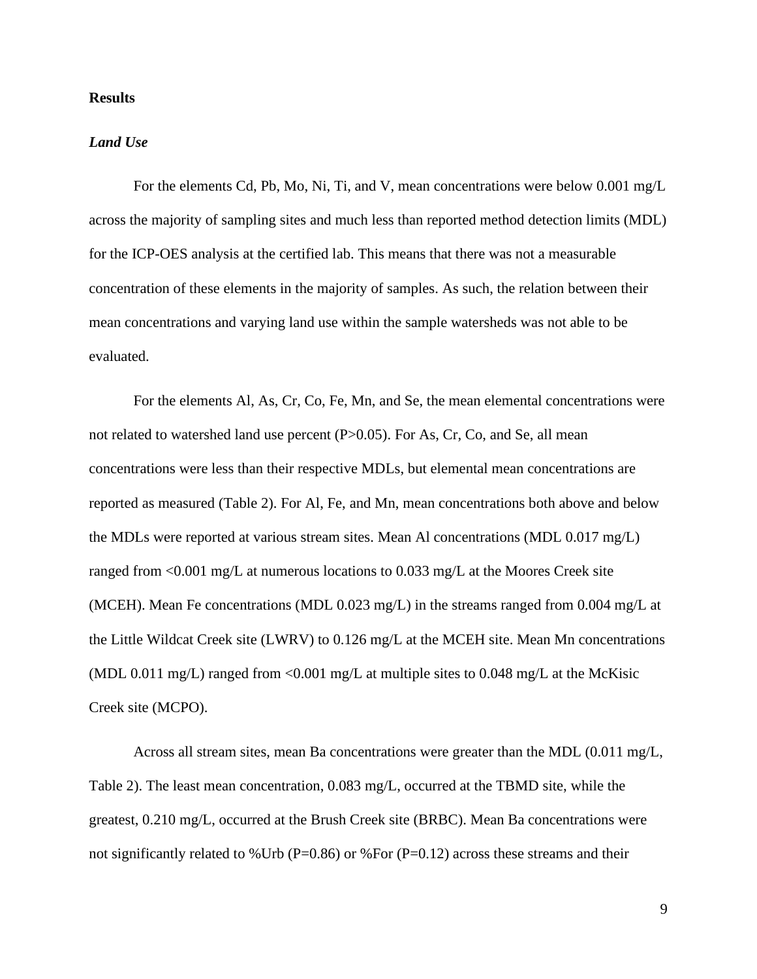#### **Results**

#### *Land Use*

For the elements Cd, Pb, Mo, Ni, Ti, and V, mean concentrations were below 0.001 mg/L across the majority of sampling sites and much less than reported method detection limits (MDL) for the ICP-OES analysis at the certified lab. This means that there was not a measurable concentration of these elements in the majority of samples. As such, the relation between their mean concentrations and varying land use within the sample watersheds was not able to be evaluated.

For the elements Al, As, Cr, Co, Fe, Mn, and Se, the mean elemental concentrations were not related to watershed land use percent (P>0.05). For As, Cr, Co, and Se, all mean concentrations were less than their respective MDLs, but elemental mean concentrations are reported as measured (Table 2). For Al, Fe, and Mn, mean concentrations both above and below the MDLs were reported at various stream sites. Mean Al concentrations (MDL 0.017 mg/L) ranged from <0.001 mg/L at numerous locations to 0.033 mg/L at the Moores Creek site (MCEH). Mean Fe concentrations (MDL 0.023 mg/L) in the streams ranged from 0.004 mg/L at the Little Wildcat Creek site (LWRV) to 0.126 mg/L at the MCEH site. Mean Mn concentrations (MDL 0.011 mg/L) ranged from  $\langle 0.001 \text{ mg/L}$  at multiple sites to 0.048 mg/L at the McKisic Creek site (MCPO).

Across all stream sites, mean Ba concentrations were greater than the MDL (0.011 mg/L, Table 2). The least mean concentration, 0.083 mg/L, occurred at the TBMD site, while the greatest, 0.210 mg/L, occurred at the Brush Creek site (BRBC). Mean Ba concentrations were not significantly related to %Urb (P=0.86) or %For (P=0.12) across these streams and their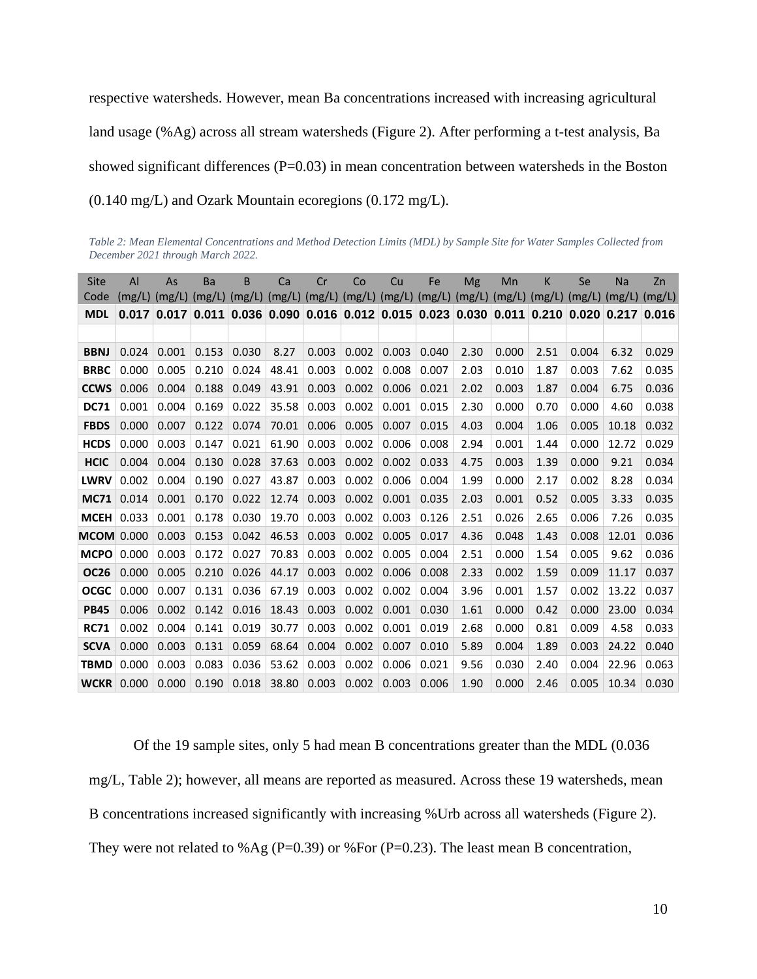respective watersheds. However, mean Ba concentrations increased with increasing agricultural land usage (%Ag) across all stream watersheds (Figure 2). After performing a t-test analysis, Ba showed significant differences  $(P=0.03)$  in mean concentration between watersheds in the Boston (0.140 mg/L) and Ozark Mountain ecoregions (0.172 mg/L).

*Table 2: Mean Elemental Concentrations and Method Detection Limits (MDL) by Sample Site for Water Samples Collected from December 2021 through March 2022.*

| <b>Site</b> | AI                | As    | Ba     | B                                                       | Ca    | Cr    | Co    | Cu    | Fe    | Mg                         | Mn    | К                 | Se            | Na     | Zn     |
|-------------|-------------------|-------|--------|---------------------------------------------------------|-------|-------|-------|-------|-------|----------------------------|-------|-------------------|---------------|--------|--------|
| Code        | $(mg/L)$ $(mg/L)$ |       | (mg/L) | $(mg/L)$ (mg/L) (mg/L) (mg/L) (mg/L)                    |       |       |       |       |       | $(mg/L)$ $(mg/L)$ $(mg/L)$ |       | $(mg/L)$ $(mg/L)$ |               | (mg/L) | (mg/L) |
| <b>MDL</b>  | 0.017             | 0.017 |        | $0.011$ 0.036 0.090 0.016 0.012 0.015 0.023 0.030 0.011 |       |       |       |       |       |                            |       | 0.210             | $0.020$ 0.217 |        | 0.016  |
|             |                   |       |        |                                                         |       |       |       |       |       |                            |       |                   |               |        |        |
| <b>BBNJ</b> | 0.024             | 0.001 | 0.153  | 0.030                                                   | 8.27  | 0.003 | 0.002 | 0.003 | 0.040 | 2.30                       | 0.000 | 2.51              | 0.004         | 6.32   | 0.029  |
| <b>BRBC</b> | 0.000             | 0.005 | 0.210  | 0.024                                                   | 48.41 | 0.003 | 0.002 | 0.008 | 0.007 | 2.03                       | 0.010 | 1.87              | 0.003         | 7.62   | 0.035  |
| <b>CCWS</b> | 0.006             | 0.004 | 0.188  | 0.049                                                   | 43.91 | 0.003 | 0.002 | 0.006 | 0.021 | 2.02                       | 0.003 | 1.87              | 0.004         | 6.75   | 0.036  |
| <b>DC71</b> | 0.001             | 0.004 | 0.169  | 0.022                                                   | 35.58 | 0.003 | 0.002 | 0.001 | 0.015 | 2.30                       | 0.000 | 0.70              | 0.000         | 4.60   | 0.038  |
| <b>FBDS</b> | 0.000             | 0.007 | 0.122  | 0.074                                                   | 70.01 | 0.006 | 0.005 | 0.007 | 0.015 | 4.03                       | 0.004 | 1.06              | 0.005         | 10.18  | 0.032  |
| <b>HCDS</b> | 0.000             | 0.003 | 0.147  | 0.021                                                   | 61.90 | 0.003 | 0.002 | 0.006 | 0.008 | 2.94                       | 0.001 | 1.44              | 0.000         | 12.72  | 0.029  |
| <b>HCIC</b> | 0.004             | 0.004 | 0.130  | 0.028                                                   | 37.63 | 0.003 | 0.002 | 0.002 | 0.033 | 4.75                       | 0.003 | 1.39              | 0.000         | 9.21   | 0.034  |
| <b>LWRV</b> | 0.002             | 0.004 | 0.190  | 0.027                                                   | 43.87 | 0.003 | 0.002 | 0.006 | 0.004 | 1.99                       | 0.000 | 2.17              | 0.002         | 8.28   | 0.034  |
| <b>MC71</b> | 0.014             | 0.001 | 0.170  | 0.022                                                   | 12.74 | 0.003 | 0.002 | 0.001 | 0.035 | 2.03                       | 0.001 | 0.52              | 0.005         | 3.33   | 0.035  |
| <b>MCEH</b> | 0.033             | 0.001 | 0.178  | 0.030                                                   | 19.70 | 0.003 | 0.002 | 0.003 | 0.126 | 2.51                       | 0.026 | 2.65              | 0.006         | 7.26   | 0.035  |
| <b>MCOM</b> | 0.000             | 0.003 | 0.153  | 0.042                                                   | 46.53 | 0.003 | 0.002 | 0.005 | 0.017 | 4.36                       | 0.048 | 1.43              | 0.008         | 12.01  | 0.036  |
| <b>MCPO</b> | 0.000             | 0.003 | 0.172  | 0.027                                                   | 70.83 | 0.003 | 0.002 | 0.005 | 0.004 | 2.51                       | 0.000 | 1.54              | 0.005         | 9.62   | 0.036  |
| <b>OC26</b> | 0.000             | 0.005 | 0.210  | 0.026                                                   | 44.17 | 0.003 | 0.002 | 0.006 | 0.008 | 2.33                       | 0.002 | 1.59              | 0.009         | 11.17  | 0.037  |
| <b>OCGC</b> | 0.000             | 0.007 | 0.131  | 0.036                                                   | 67.19 | 0.003 | 0.002 | 0.002 | 0.004 | 3.96                       | 0.001 | 1.57              | 0.002         | 13.22  | 0.037  |
| <b>PB45</b> | 0.006             | 0.002 | 0.142  | 0.016                                                   | 18.43 | 0.003 | 0.002 | 0.001 | 0.030 | 1.61                       | 0.000 | 0.42              | 0.000         | 23.00  | 0.034  |
| <b>RC71</b> | 0.002             | 0.004 | 0.141  | 0.019                                                   | 30.77 | 0.003 | 0.002 | 0.001 | 0.019 | 2.68                       | 0.000 | 0.81              | 0.009         | 4.58   | 0.033  |
| <b>SCVA</b> | 0.000             | 0.003 | 0.131  | 0.059                                                   | 68.64 | 0.004 | 0.002 | 0.007 | 0.010 | 5.89                       | 0.004 | 1.89              | 0.003         | 24.22  | 0.040  |
| <b>TBMD</b> | 0.000             | 0.003 | 0.083  | 0.036                                                   | 53.62 | 0.003 | 0.002 | 0.006 | 0.021 | 9.56                       | 0.030 | 2.40              | 0.004         | 22.96  | 0.063  |
| <b>WCKR</b> | 0.000             | 0.000 | 0.190  | 0.018                                                   | 38.80 | 0.003 | 0.002 | 0.003 | 0.006 | 1.90                       | 0.000 | 2.46              | 0.005         | 10.34  | 0.030  |

Of the 19 sample sites, only 5 had mean B concentrations greater than the MDL (0.036 mg/L, Table 2); however, all means are reported as measured. Across these 19 watersheds, mean B concentrations increased significantly with increasing %Urb across all watersheds (Figure 2). They were not related to %Ag (P=0.39) or %For (P=0.23). The least mean B concentration,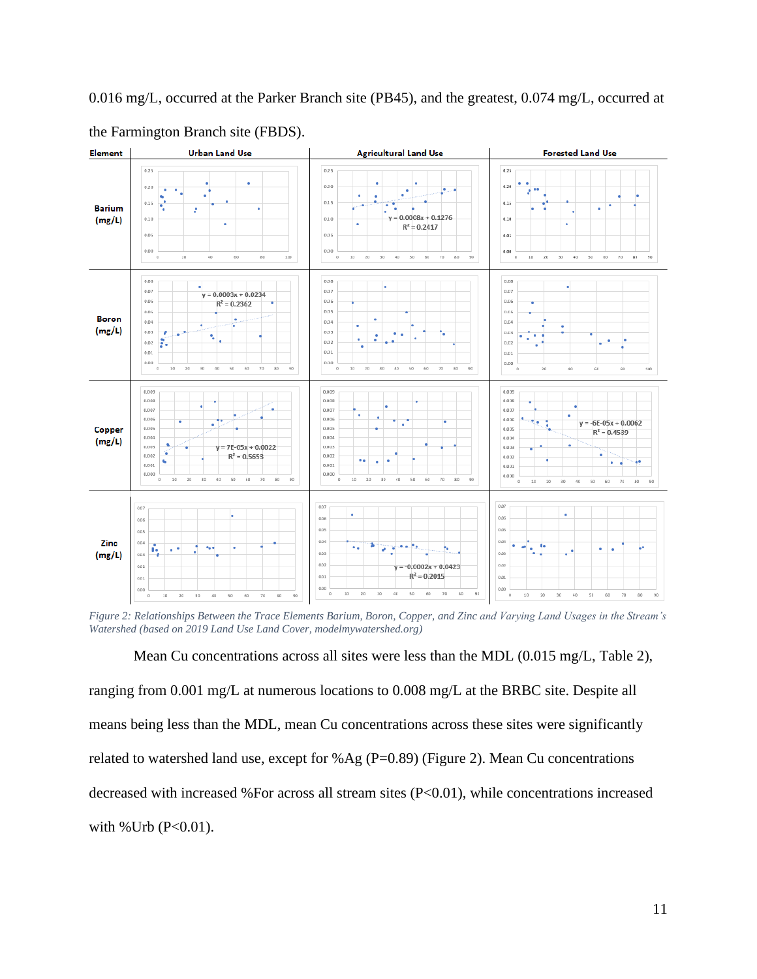0.016 mg/L, occurred at the Parker Branch site (PB45), and the greatest, 0.074 mg/L, occurred at



the Farmington Branch site (FBDS).

*Figure 2: Relationships Between the Trace Elements Barium, Boron, Copper, and Zinc and Varying Land Usages in the Stream's Watershed (based on 2019 Land Use Land Cover, modelmywatershed.org)*

Mean Cu concentrations across all sites were less than the MDL (0.015 mg/L, Table 2), ranging from 0.001 mg/L at numerous locations to 0.008 mg/L at the BRBC site. Despite all means being less than the MDL, mean Cu concentrations across these sites were significantly related to watershed land use, except for %Ag ( $P=0.89$ ) (Figure 2). Mean Cu concentrations decreased with increased %For across all stream sites (P<0.01), while concentrations increased with % Urb  $(P<0.01)$ .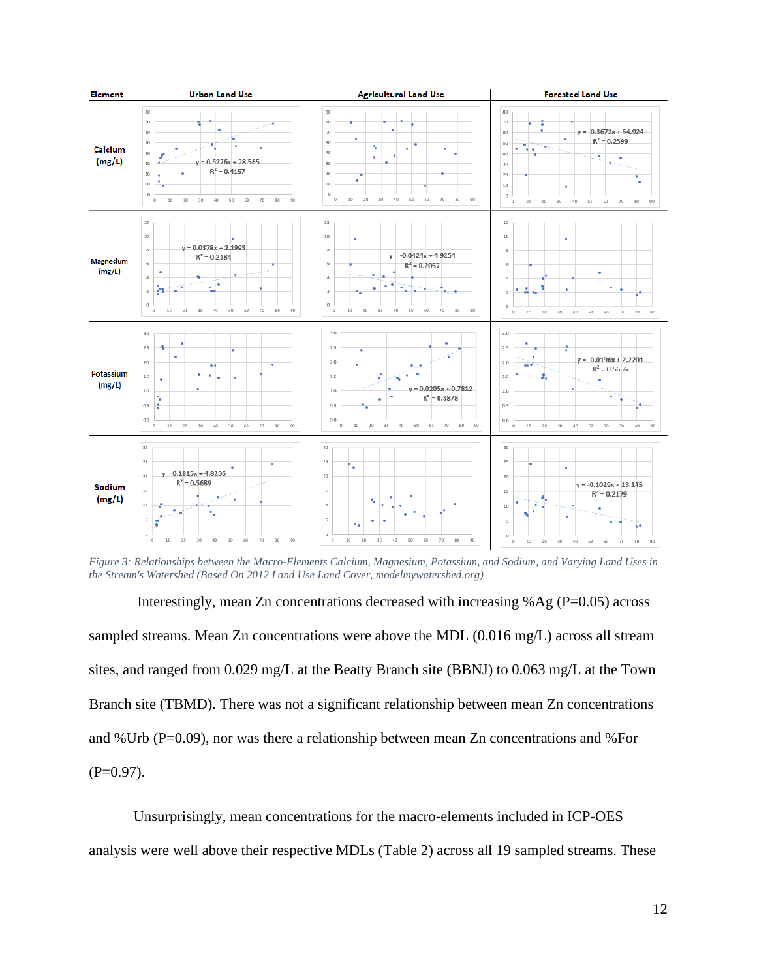

*Figure 3: Relationships between the Macro-Elements Calcium, Magnesium, Potassium, and Sodium, and Varying Land Uses in the Stream's Watershed (Based On 2012 Land Use Land Cover, modelmywatershed.org)*

Interestingly, mean Zn concentrations decreased with increasing  $%$ Ag (P=0.05) across sampled streams. Mean Zn concentrations were above the MDL (0.016 mg/L) across all stream sites, and ranged from 0.029 mg/L at the Beatty Branch site (BBNJ) to 0.063 mg/L at the Town Branch site (TBMD). There was not a significant relationship between mean Zn concentrations and %Urb (P=0.09), nor was there a relationship between mean Zn concentrations and %For  $(P=0.97)$ .

Unsurprisingly, mean concentrations for the macro-elements included in ICP-OES analysis were well above their respective MDLs (Table 2) across all 19 sampled streams. These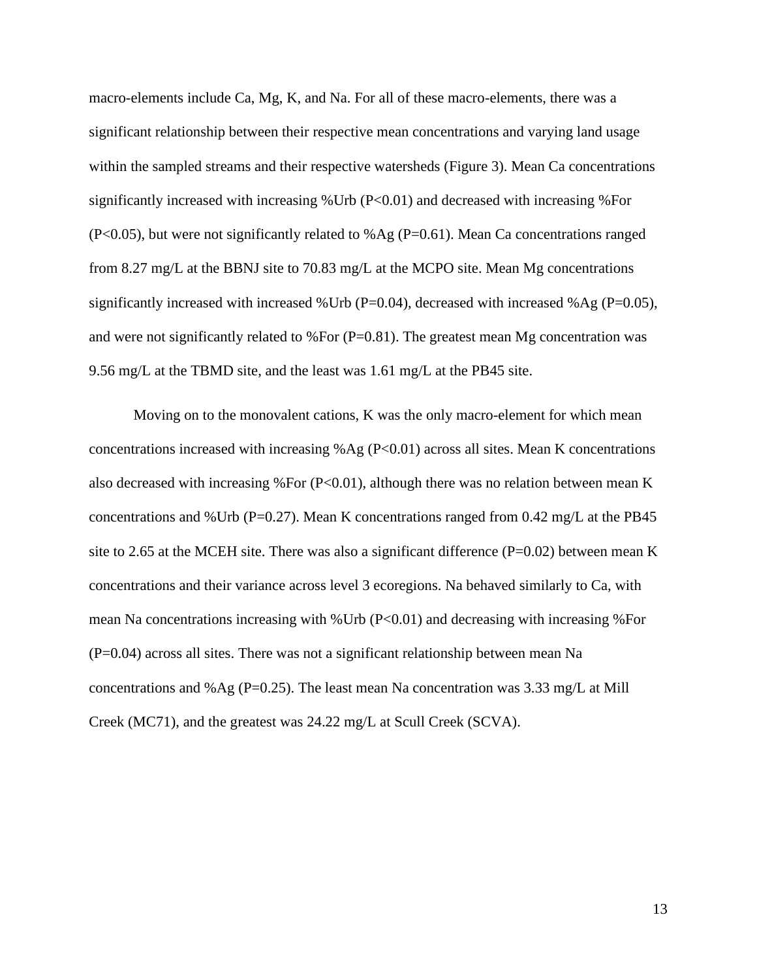macro-elements include Ca, Mg, K, and Na. For all of these macro-elements, there was a significant relationship between their respective mean concentrations and varying land usage within the sampled streams and their respective watersheds (Figure 3). Mean Ca concentrations significantly increased with increasing %Urb (P<0.01) and decreased with increasing %For (P<0.05), but were not significantly related to %Ag (P=0.61). Mean Ca concentrations ranged from 8.27 mg/L at the BBNJ site to 70.83 mg/L at the MCPO site. Mean Mg concentrations significantly increased with increased %Urb (P=0.04), decreased with increased %Ag (P=0.05), and were not significantly related to %For  $(P=0.81)$ . The greatest mean Mg concentration was 9.56 mg/L at the TBMD site, and the least was 1.61 mg/L at the PB45 site.

Moving on to the monovalent cations, K was the only macro-element for which mean concentrations increased with increasing %Ag ( $P<0.01$ ) across all sites. Mean K concentrations also decreased with increasing %For  $(P<0.01)$ , although there was no relation between mean K concentrations and %Urb ( $P=0.27$ ). Mean K concentrations ranged from 0.42 mg/L at the PB45 site to 2.65 at the MCEH site. There was also a significant difference  $(P=0.02)$  between mean K concentrations and their variance across level 3 ecoregions. Na behaved similarly to Ca, with mean Na concentrations increasing with %Urb (P<0.01) and decreasing with increasing %For (P=0.04) across all sites. There was not a significant relationship between mean Na concentrations and %Ag ( $P=0.25$ ). The least mean Na concentration was 3.33 mg/L at Mill Creek (MC71), and the greatest was 24.22 mg/L at Scull Creek (SCVA).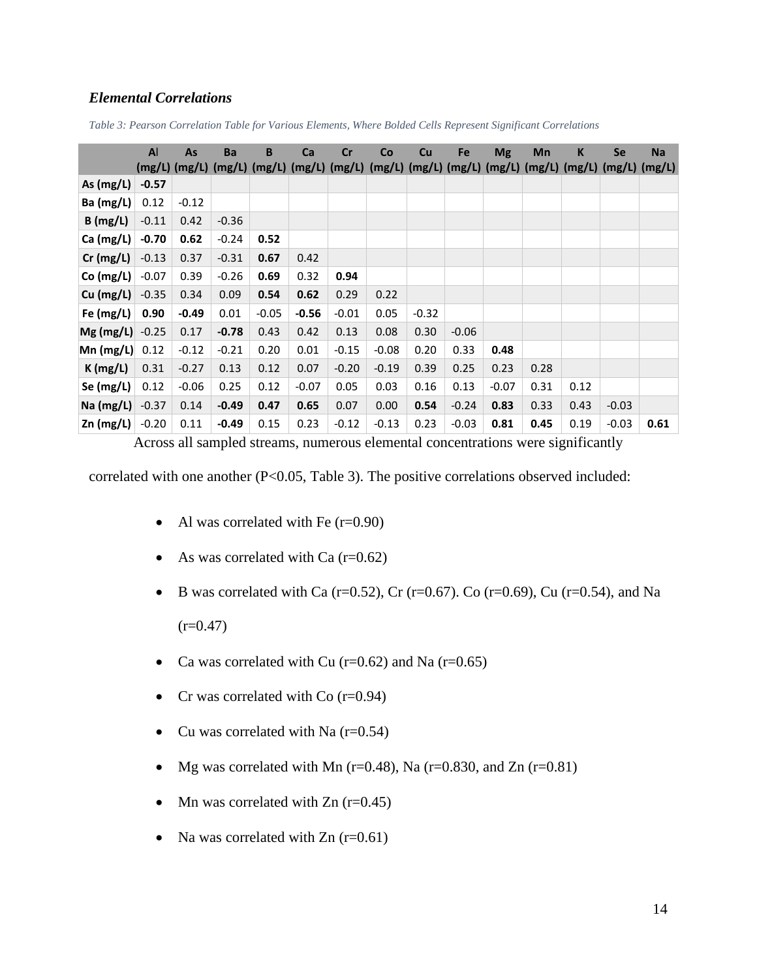### *Elemental Correlations*

|                                         | $\mathsf{A}$ | <b>As</b> | Ba      | B       | Ca      | cr      | Co                                                                                                | <b>Cu</b> | Fe      | <b>Mg</b> | Mn   | K    | Se      | <b>Na</b> |
|-----------------------------------------|--------------|-----------|---------|---------|---------|---------|---------------------------------------------------------------------------------------------------|-----------|---------|-----------|------|------|---------|-----------|
|                                         |              |           |         |         |         |         | (mg/L) (mg/L) (mg/L) (mg/L) (mg/L) (mg/L) (mg/L) (mg/L) (mg/L) (mg/L) (mg/L) (mg/L) (mg/L) (mg/L) |           |         |           |      |      |         |           |
| As $(mg/L)$                             | $-0.57$      |           |         |         |         |         |                                                                                                   |           |         |           |      |      |         |           |
| Ba (mg/L)                               | 0.12         | $-0.12$   |         |         |         |         |                                                                                                   |           |         |           |      |      |         |           |
| B(mg/L)                                 | $-0.11$      | 0.42      | $-0.36$ |         |         |         |                                                                                                   |           |         |           |      |      |         |           |
| Ca (mg/L)                               | $-0.70$      | 0.62      | $-0.24$ | 0.52    |         |         |                                                                                                   |           |         |           |      |      |         |           |
| $Cr$ (mg/L)                             | $-0.13$      | 0.37      | $-0.31$ | 0.67    | 0.42    |         |                                                                                                   |           |         |           |      |      |         |           |
| Co (mg/L)                               | $-0.07$      | 0.39      | $-0.26$ | 0.69    | 0.32    | 0.94    |                                                                                                   |           |         |           |      |      |         |           |
| Cu (mg/L)                               | $-0.35$      | 0.34      | 0.09    | 0.54    | 0.62    | 0.29    | 0.22                                                                                              |           |         |           |      |      |         |           |
| Fe $(mg/L)$                             | 0.90         | $-0.49$   | 0.01    | $-0.05$ | $-0.56$ | $-0.01$ | 0.05                                                                                              | $-0.32$   |         |           |      |      |         |           |
| $Mg$ (mg/L)                             | $-0.25$      | 0.17      | $-0.78$ | 0.43    | 0.42    | 0.13    | 0.08                                                                                              | 0.30      | $-0.06$ |           |      |      |         |           |
| $Mn$ (mg/L)                             | 0.12         | $-0.12$   | $-0.21$ | 0.20    | 0.01    | $-0.15$ | $-0.08$                                                                                           | 0.20      | 0.33    | 0.48      |      |      |         |           |
| K(mg/L)                                 | 0.31         | $-0.27$   | 0.13    | 0.12    | 0.07    | $-0.20$ | $-0.19$                                                                                           | 0.39      | 0.25    | 0.23      | 0.28 |      |         |           |
| Se (mg/L)                               | 0.12         | $-0.06$   | 0.25    | 0.12    | $-0.07$ | 0.05    | 0.03                                                                                              | 0.16      | 0.13    | $-0.07$   | 0.31 | 0.12 |         |           |
| $\textsf{Na}\left(\textsf{mg/L}\right)$ | $-0.37$      | 0.14      | $-0.49$ | 0.47    | 0.65    | 0.07    | 0.00                                                                                              | 0.54      | $-0.24$ | 0.83      | 0.33 | 0.43 | $-0.03$ |           |
| $Zn$ (mg/L)                             | $-0.20$      | 0.11      | $-0.49$ | 0.15    | 0.23    | $-0.12$ | $-0.13$                                                                                           | 0.23      | $-0.03$ | 0.81      | 0.45 | 0.19 | $-0.03$ | 0.61      |

*Table 3: Pearson Correlation Table for Various Elements, Where Bolded Cells Represent Significant Correlations*

Across all sampled streams, numerous elemental concentrations were significantly

correlated with one another  $(P<0.05, Table 3)$ . The positive correlations observed included:

- Al was correlated with Fe  $(r=0.90)$
- As was correlated with Ca  $(r=0.62)$
- B was correlated with Ca (r=0.52), Cr (r=0.67). Co (r=0.69), Cu (r=0.54), and Na  $(r=0.47)$
- Ca was correlated with Cu ( $r=0.62$ ) and Na ( $r=0.65$ )
- Cr was correlated with  $Co$  ( $r=0.94$ )
- Cu was correlated with Na  $(r=0.54)$
- Mg was correlated with Mn ( $r=0.48$ ), Na ( $r=0.830$ , and Zn ( $r=0.81$ )
- Mn was correlated with  $Zn$  (r=0.45)
- Na was correlated with  $Zn$  (r=0.61)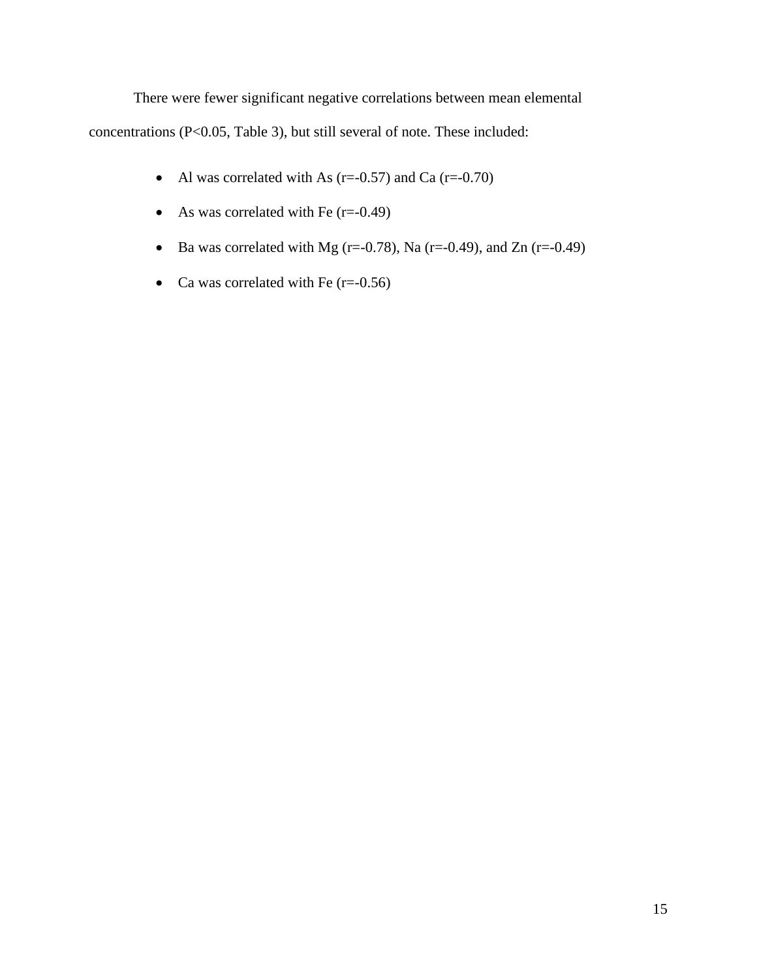There were fewer significant negative correlations between mean elemental concentrations (P<0.05, Table 3), but still several of note. These included:

- Al was correlated with As  $(r=-0.57)$  and Ca  $(r=-0.70)$
- As was correlated with Fe  $(r=0.49)$
- Ba was correlated with Mg ( $r=-0.78$ ), Na ( $r=-0.49$ ), and Zn ( $r=-0.49$ )
- Ca was correlated with Fe  $(r=0.56)$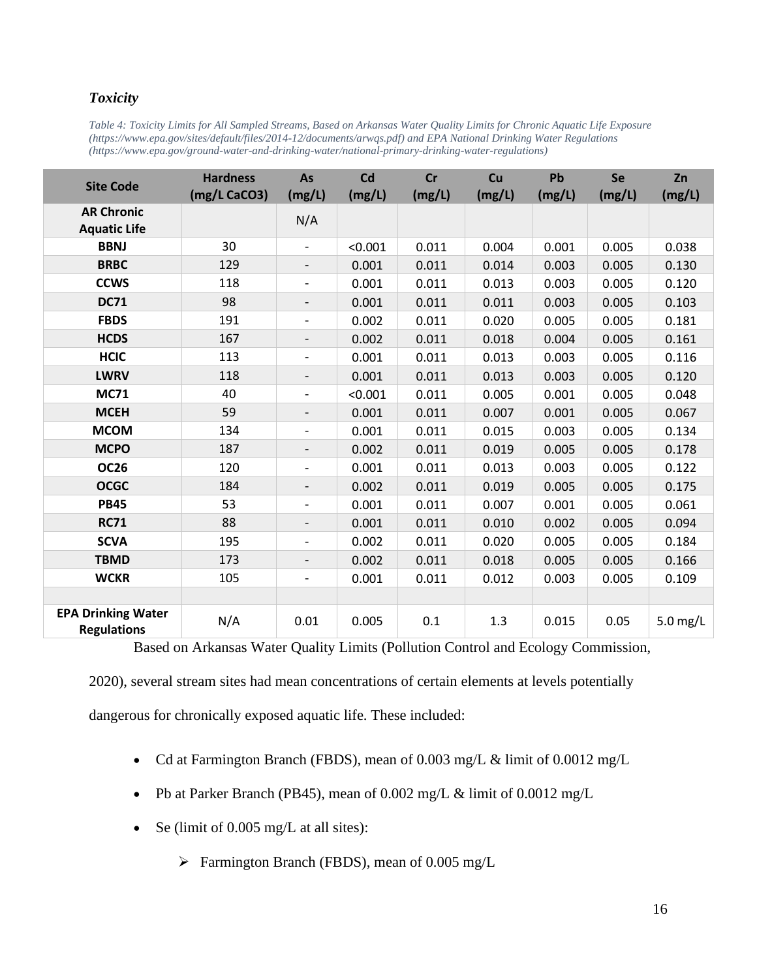## *Toxicity*

| Table 4: Toxicity Limits for All Sampled Streams, Based on Arkansas Water Quality Limits for Chronic Aquatic Life Exposure |
|----------------------------------------------------------------------------------------------------------------------------|
| https://www.epa.gov/sites/default/files/2014-12/documents/arwqs.pdf) and EPA National Drinking Water Regulations           |
| (https://www.epa.gov/ground-water-and-drinking-water/national-primary-drinking-water-regulations)                          |

| <b>Site Code</b>                                | <b>Hardness</b><br>(mg/L CaCO3) | As<br>(mg/L)             | Cd<br>(mg/L) | <b>Cr</b><br>(mg/L) | Cu<br>(mg/L) | Pb<br>(mg/L) | Se<br>(mg/L) | Zn<br>(mg/L) |
|-------------------------------------------------|---------------------------------|--------------------------|--------------|---------------------|--------------|--------------|--------------|--------------|
| <b>AR Chronic</b><br><b>Aquatic Life</b>        |                                 | N/A                      |              |                     |              |              |              |              |
| <b>BBNJ</b>                                     | 30                              | $\qquad \qquad -$        | < 0.001      | 0.011               | 0.004        | 0.001        | 0.005        | 0.038        |
| <b>BRBC</b>                                     | 129                             | $\overline{\phantom{a}}$ | 0.001        | 0.011               | 0.014        | 0.003        | 0.005        | 0.130        |
| <b>CCWS</b>                                     | 118                             | $\qquad \qquad -$        | 0.001        | 0.011               | 0.013        | 0.003        | 0.005        | 0.120        |
| <b>DC71</b>                                     | 98                              | -                        | 0.001        | 0.011               | 0.011        | 0.003        | 0.005        | 0.103        |
| <b>FBDS</b>                                     | 191                             | $\overline{\phantom{a}}$ | 0.002        | 0.011               | 0.020        | 0.005        | 0.005        | 0.181        |
| <b>HCDS</b>                                     | 167                             | -                        | 0.002        | 0.011               | 0.018        | 0.004        | 0.005        | 0.161        |
| <b>HCIC</b>                                     | 113                             | $\qquad \qquad -$        | 0.001        | 0.011               | 0.013        | 0.003        | 0.005        | 0.116        |
| <b>LWRV</b>                                     | 118                             |                          | 0.001        | 0.011               | 0.013        | 0.003        | 0.005        | 0.120        |
| <b>MC71</b>                                     | 40                              | $\qquad \qquad -$        | < 0.001      | 0.011               | 0.005        | 0.001        | 0.005        | 0.048        |
| <b>MCEH</b>                                     | 59                              | $\overline{\phantom{a}}$ | 0.001        | 0.011               | 0.007        | 0.001        | 0.005        | 0.067        |
| <b>MCOM</b>                                     | 134                             | $\overline{\phantom{0}}$ | 0.001        | 0.011               | 0.015        | 0.003        | 0.005        | 0.134        |
| <b>MCPO</b>                                     | 187                             | $\qquad \qquad -$        | 0.002        | 0.011               | 0.019        | 0.005        | 0.005        | 0.178        |
| <b>OC26</b>                                     | 120                             | $\overline{\phantom{a}}$ | 0.001        | 0.011               | 0.013        | 0.003        | 0.005        | 0.122        |
| <b>OCGC</b>                                     | 184                             | $\overline{\phantom{a}}$ | 0.002        | 0.011               | 0.019        | 0.005        | 0.005        | 0.175        |
| <b>PB45</b>                                     | 53                              | $\overline{\phantom{a}}$ | 0.001        | 0.011               | 0.007        | 0.001        | 0.005        | 0.061        |
| <b>RC71</b>                                     | 88                              | $\overline{\phantom{a}}$ | 0.001        | 0.011               | 0.010        | 0.002        | 0.005        | 0.094        |
| <b>SCVA</b>                                     | 195                             | $\overline{\phantom{0}}$ | 0.002        | 0.011               | 0.020        | 0.005        | 0.005        | 0.184        |
| <b>TBMD</b>                                     | 173                             |                          | 0.002        | 0.011               | 0.018        | 0.005        | 0.005        | 0.166        |
| <b>WCKR</b>                                     | 105                             | $\overline{\phantom{0}}$ | 0.001        | 0.011               | 0.012        | 0.003        | 0.005        | 0.109        |
|                                                 |                                 |                          |              |                     |              |              |              |              |
| <b>EPA Drinking Water</b><br><b>Regulations</b> | N/A                             | 0.01                     | 0.005        | 0.1                 | 1.3          | 0.015        | 0.05         | 5.0 mg/L     |

Based on Arkansas Water Quality Limits (Pollution Control and Ecology Commission,

2020), several stream sites had mean concentrations of certain elements at levels potentially

dangerous for chronically exposed aquatic life. These included:

- Cd at Farmington Branch (FBDS), mean of 0.003 mg/L & limit of 0.0012 mg/L
- Pb at Parker Branch (PB45), mean of 0.002 mg/L & limit of 0.0012 mg/L
- Se (limit of 0.005 mg/L at all sites):
	- ➢ Farmington Branch (FBDS), mean of 0.005 mg/L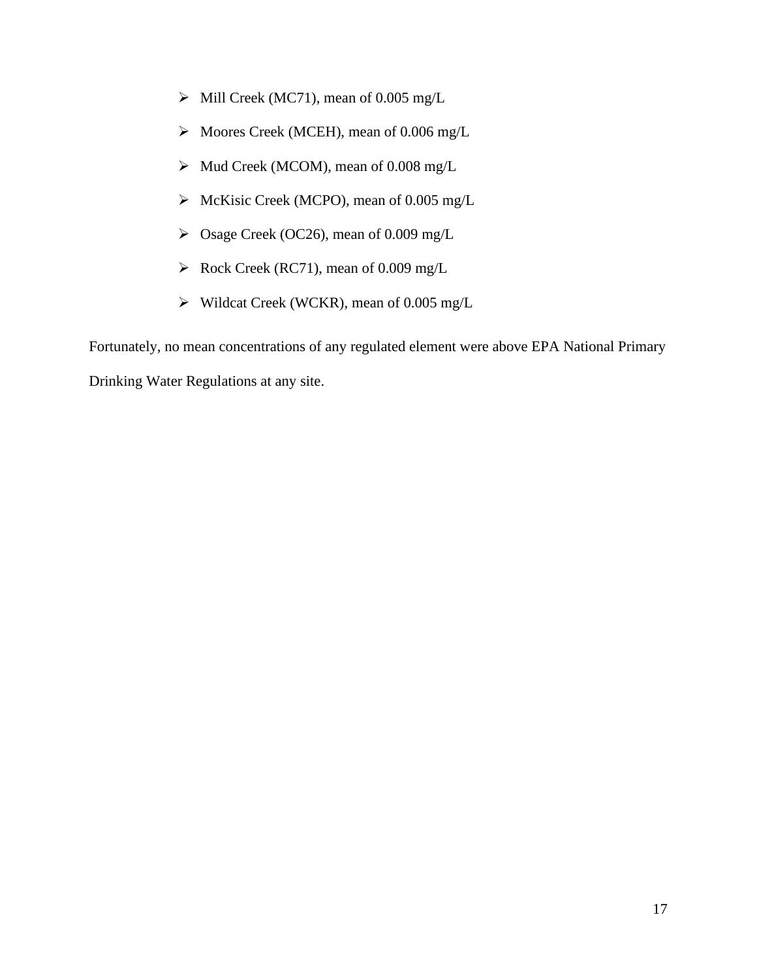- ➢ Mill Creek (MC71), mean of 0.005 mg/L
- ➢ Moores Creek (MCEH), mean of 0.006 mg/L
- ➢ Mud Creek (MCOM), mean of 0.008 mg/L
- ➢ McKisic Creek (MCPO), mean of 0.005 mg/L
- ➢ Osage Creek (OC26), mean of 0.009 mg/L
- ➢ Rock Creek (RC71), mean of 0.009 mg/L
- ➢ Wildcat Creek (WCKR), mean of 0.005 mg/L

Fortunately, no mean concentrations of any regulated element were above EPA National Primary

Drinking Water Regulations at any site.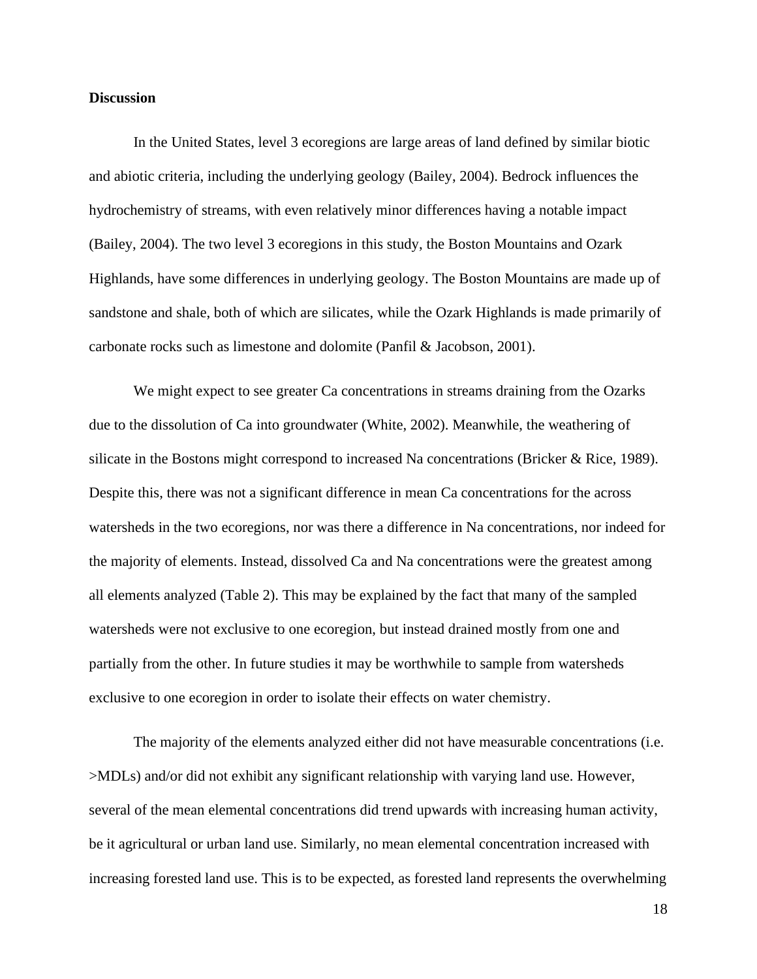#### **Discussion**

In the United States, level 3 ecoregions are large areas of land defined by similar biotic and abiotic criteria, including the underlying geology (Bailey, 2004). Bedrock influences the hydrochemistry of streams, with even relatively minor differences having a notable impact (Bailey, 2004). The two level 3 ecoregions in this study, the Boston Mountains and Ozark Highlands, have some differences in underlying geology. The Boston Mountains are made up of sandstone and shale, both of which are silicates, while the Ozark Highlands is made primarily of carbonate rocks such as limestone and dolomite (Panfil & Jacobson, 2001).

We might expect to see greater Ca concentrations in streams draining from the Ozarks due to the dissolution of Ca into groundwater (White, 2002). Meanwhile, the weathering of silicate in the Bostons might correspond to increased Na concentrations (Bricker & Rice, 1989). Despite this, there was not a significant difference in mean Ca concentrations for the across watersheds in the two ecoregions, nor was there a difference in Na concentrations, nor indeed for the majority of elements. Instead, dissolved Ca and Na concentrations were the greatest among all elements analyzed (Table 2). This may be explained by the fact that many of the sampled watersheds were not exclusive to one ecoregion, but instead drained mostly from one and partially from the other. In future studies it may be worthwhile to sample from watersheds exclusive to one ecoregion in order to isolate their effects on water chemistry.

The majority of the elements analyzed either did not have measurable concentrations (i.e. >MDLs) and/or did not exhibit any significant relationship with varying land use. However, several of the mean elemental concentrations did trend upwards with increasing human activity, be it agricultural or urban land use. Similarly, no mean elemental concentration increased with increasing forested land use. This is to be expected, as forested land represents the overwhelming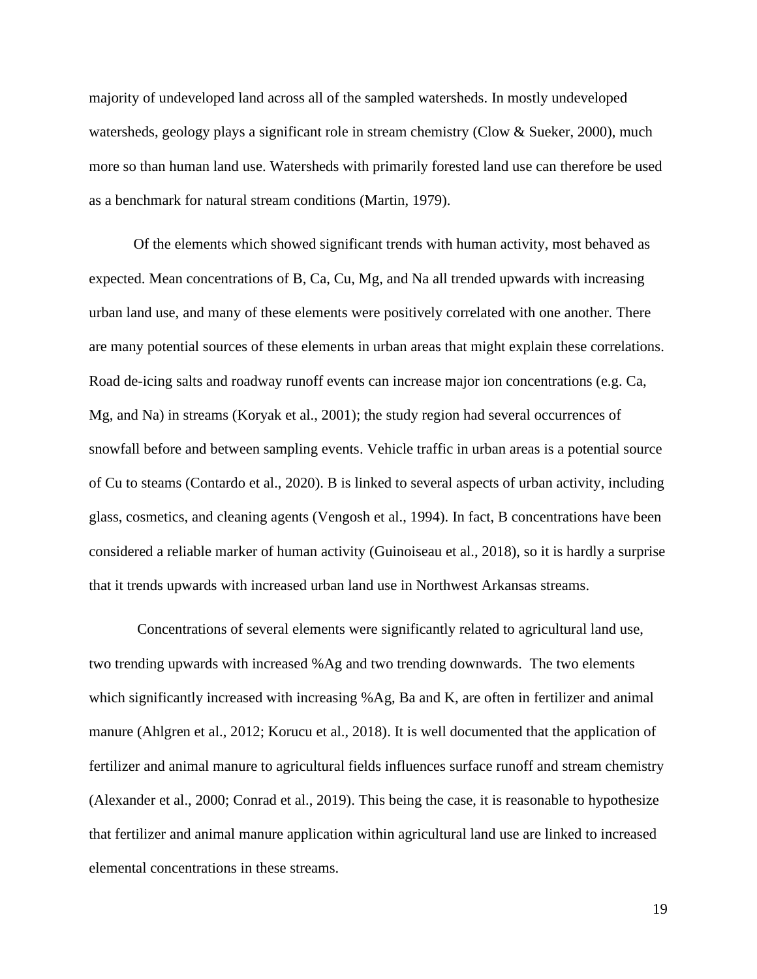majority of undeveloped land across all of the sampled watersheds. In mostly undeveloped watersheds, geology plays a significant role in stream chemistry (Clow & Sueker, 2000), much more so than human land use. Watersheds with primarily forested land use can therefore be used as a benchmark for natural stream conditions (Martin, 1979).

Of the elements which showed significant trends with human activity, most behaved as expected. Mean concentrations of B, Ca, Cu, Mg, and Na all trended upwards with increasing urban land use, and many of these elements were positively correlated with one another. There are many potential sources of these elements in urban areas that might explain these correlations. Road de-icing salts and roadway runoff events can increase major ion concentrations (e.g. Ca, Mg, and Na) in streams (Koryak et al., 2001); the study region had several occurrences of snowfall before and between sampling events. Vehicle traffic in urban areas is a potential source of Cu to steams (Contardo et al., 2020). B is linked to several aspects of urban activity, including glass, cosmetics, and cleaning agents (Vengosh et al., 1994). In fact, B concentrations have been considered a reliable marker of human activity (Guinoiseau et al., 2018), so it is hardly a surprise that it trends upwards with increased urban land use in Northwest Arkansas streams.

Concentrations of several elements were significantly related to agricultural land use, two trending upwards with increased %Ag and two trending downwards. The two elements which significantly increased with increasing %Ag, Ba and K, are often in fertilizer and animal manure (Ahlgren et al., 2012; Korucu et al., 2018). It is well documented that the application of fertilizer and animal manure to agricultural fields influences surface runoff and stream chemistry (Alexander et al., 2000; Conrad et al., 2019). This being the case, it is reasonable to hypothesize that fertilizer and animal manure application within agricultural land use are linked to increased elemental concentrations in these streams.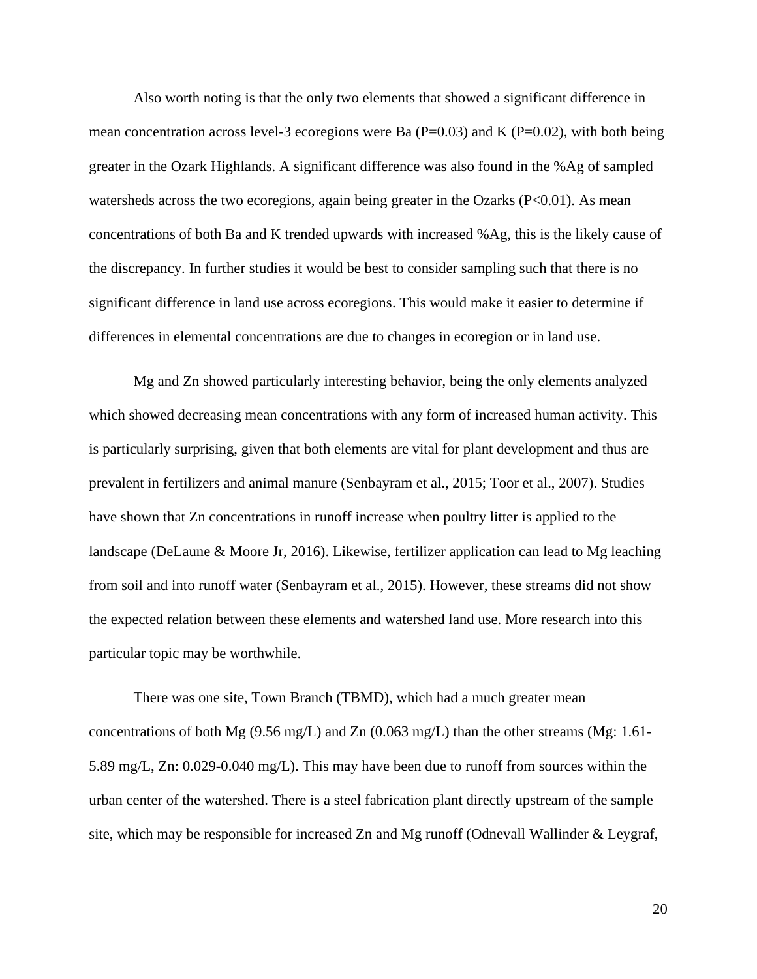Also worth noting is that the only two elements that showed a significant difference in mean concentration across level-3 ecoregions were Ba ( $P=0.03$ ) and K ( $P=0.02$ ), with both being greater in the Ozark Highlands. A significant difference was also found in the %Ag of sampled watersheds across the two ecoregions, again being greater in the Ozarks  $(P<0.01)$ . As mean concentrations of both Ba and K trended upwards with increased %Ag, this is the likely cause of the discrepancy. In further studies it would be best to consider sampling such that there is no significant difference in land use across ecoregions. This would make it easier to determine if differences in elemental concentrations are due to changes in ecoregion or in land use.

Mg and Zn showed particularly interesting behavior, being the only elements analyzed which showed decreasing mean concentrations with any form of increased human activity. This is particularly surprising, given that both elements are vital for plant development and thus are prevalent in fertilizers and animal manure (Senbayram et al., 2015; Toor et al., 2007). Studies have shown that Zn concentrations in runoff increase when poultry litter is applied to the landscape (DeLaune & Moore Jr, 2016). Likewise, fertilizer application can lead to Mg leaching from soil and into runoff water (Senbayram et al., 2015). However, these streams did not show the expected relation between these elements and watershed land use. More research into this particular topic may be worthwhile.

There was one site, Town Branch (TBMD), which had a much greater mean concentrations of both Mg (9.56 mg/L) and Zn (0.063 mg/L) than the other streams (Mg: 1.61- 5.89 mg/L, Zn: 0.029-0.040 mg/L). This may have been due to runoff from sources within the urban center of the watershed. There is a steel fabrication plant directly upstream of the sample site, which may be responsible for increased Zn and Mg runoff (Odnevall Wallinder & Leygraf,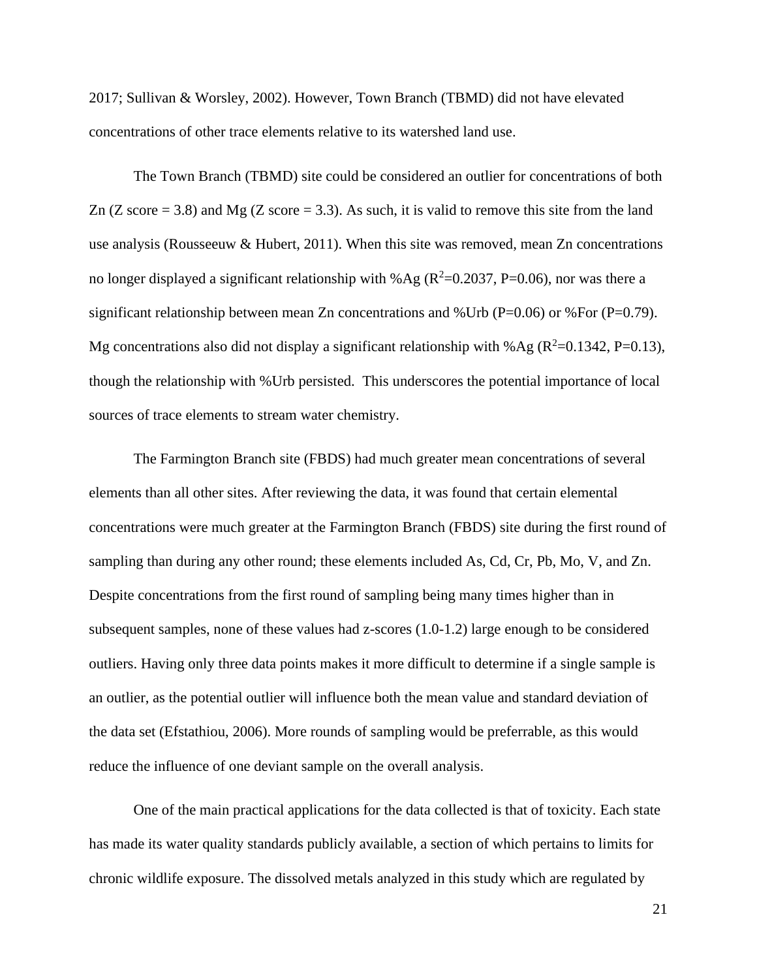2017; Sullivan & Worsley, 2002). However, Town Branch (TBMD) did not have elevated concentrations of other trace elements relative to its watershed land use.

The Town Branch (TBMD) site could be considered an outlier for concentrations of both Zn  $(Z \text{ score} = 3.8)$  and Mg  $(Z \text{ score} = 3.3)$ . As such, it is valid to remove this site from the land use analysis (Rousseeuw & Hubert, 2011). When this site was removed, mean Zn concentrations no longer displayed a significant relationship with % Ag ( $R^2$ =0.2037, P=0.06), nor was there a significant relationship between mean Zn concentrations and %Urb ( $P=0.06$ ) or %For ( $P=0.79$ ). Mg concentrations also did not display a significant relationship with %Ag ( $R^2$ =0.1342, P=0.13), though the relationship with %Urb persisted. This underscores the potential importance of local sources of trace elements to stream water chemistry.

The Farmington Branch site (FBDS) had much greater mean concentrations of several elements than all other sites. After reviewing the data, it was found that certain elemental concentrations were much greater at the Farmington Branch (FBDS) site during the first round of sampling than during any other round; these elements included As, Cd, Cr, Pb, Mo, V, and Zn. Despite concentrations from the first round of sampling being many times higher than in subsequent samples, none of these values had z-scores (1.0-1.2) large enough to be considered outliers. Having only three data points makes it more difficult to determine if a single sample is an outlier, as the potential outlier will influence both the mean value and standard deviation of the data set (Efstathiou, 2006). More rounds of sampling would be preferrable, as this would reduce the influence of one deviant sample on the overall analysis.

One of the main practical applications for the data collected is that of toxicity. Each state has made its water quality standards publicly available, a section of which pertains to limits for chronic wildlife exposure. The dissolved metals analyzed in this study which are regulated by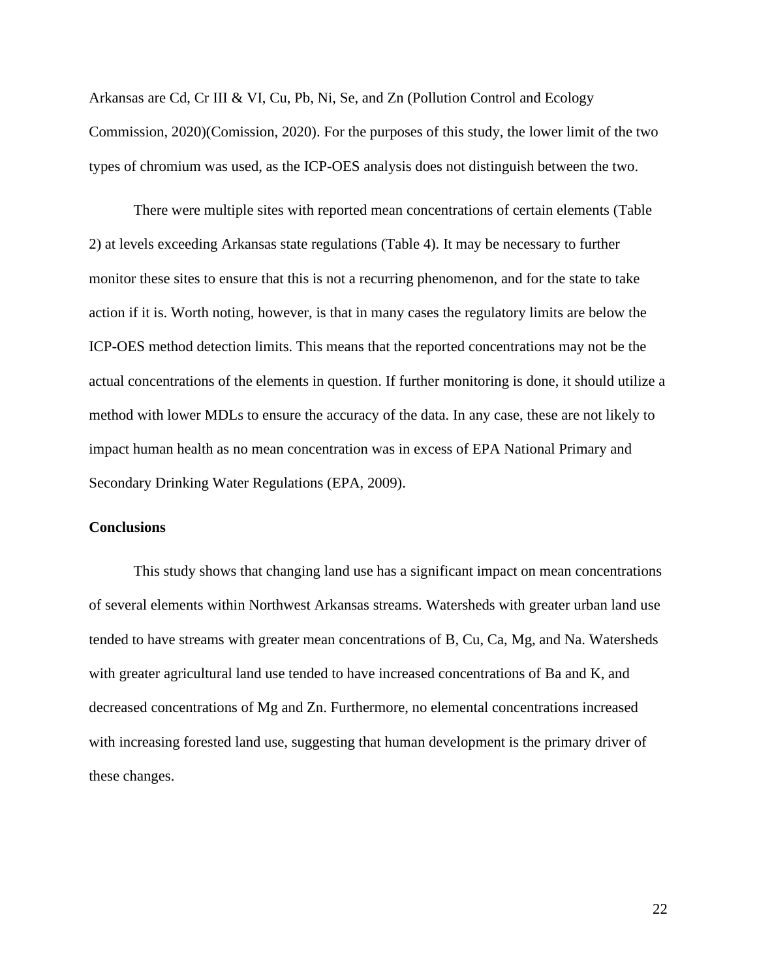Arkansas are Cd, Cr III & VI, Cu, Pb, Ni, Se, and Zn (Pollution Control and Ecology Commission, 2020)(Comission, 2020). For the purposes of this study, the lower limit of the two types of chromium was used, as the ICP-OES analysis does not distinguish between the two.

There were multiple sites with reported mean concentrations of certain elements (Table 2) at levels exceeding Arkansas state regulations (Table 4). It may be necessary to further monitor these sites to ensure that this is not a recurring phenomenon, and for the state to take action if it is. Worth noting, however, is that in many cases the regulatory limits are below the ICP-OES method detection limits. This means that the reported concentrations may not be the actual concentrations of the elements in question. If further monitoring is done, it should utilize a method with lower MDLs to ensure the accuracy of the data. In any case, these are not likely to impact human health as no mean concentration was in excess of EPA National Primary and Secondary Drinking Water Regulations (EPA, 2009).

#### **Conclusions**

This study shows that changing land use has a significant impact on mean concentrations of several elements within Northwest Arkansas streams. Watersheds with greater urban land use tended to have streams with greater mean concentrations of B, Cu, Ca, Mg, and Na. Watersheds with greater agricultural land use tended to have increased concentrations of Ba and K, and decreased concentrations of Mg and Zn. Furthermore, no elemental concentrations increased with increasing forested land use, suggesting that human development is the primary driver of these changes.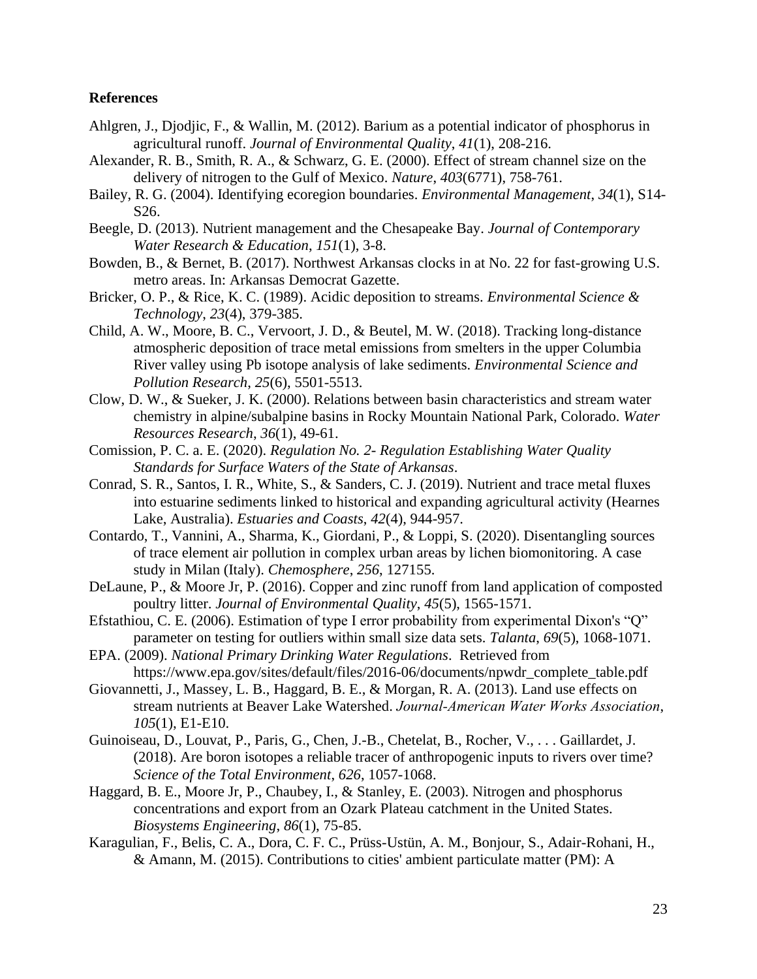#### **References**

- Ahlgren, J., Djodjic, F., & Wallin, M. (2012). Barium as a potential indicator of phosphorus in agricultural runoff. *Journal of Environmental Quality*, *41*(1), 208-216.
- Alexander, R. B., Smith, R. A., & Schwarz, G. E. (2000). Effect of stream channel size on the delivery of nitrogen to the Gulf of Mexico. *Nature*, *403*(6771), 758-761.
- Bailey, R. G. (2004). Identifying ecoregion boundaries. *Environmental Management*, *34*(1), S14- S26.
- Beegle, D. (2013). Nutrient management and the Chesapeake Bay. *Journal of Contemporary Water Research & Education*, *151*(1), 3-8.
- Bowden, B., & Bernet, B. (2017). Northwest Arkansas clocks in at No. 22 for fast-growing U.S. metro areas. In: Arkansas Democrat Gazette.
- Bricker, O. P., & Rice, K. C. (1989). Acidic deposition to streams. *Environmental Science & Technology*, *23*(4), 379-385.
- Child, A. W., Moore, B. C., Vervoort, J. D., & Beutel, M. W. (2018). Tracking long-distance atmospheric deposition of trace metal emissions from smelters in the upper Columbia River valley using Pb isotope analysis of lake sediments. *Environmental Science and Pollution Research*, *25*(6), 5501-5513.
- Clow, D. W., & Sueker, J. K. (2000). Relations between basin characteristics and stream water chemistry in alpine/subalpine basins in Rocky Mountain National Park, Colorado. *Water Resources Research*, *36*(1), 49-61.
- Comission, P. C. a. E. (2020). *Regulation No. 2- Regulation Establishing Water Quality Standards for Surface Waters of the State of Arkansas*.
- Conrad, S. R., Santos, I. R., White, S., & Sanders, C. J. (2019). Nutrient and trace metal fluxes into estuarine sediments linked to historical and expanding agricultural activity (Hearnes Lake, Australia). *Estuaries and Coasts*, *42*(4), 944-957.
- Contardo, T., Vannini, A., Sharma, K., Giordani, P., & Loppi, S. (2020). Disentangling sources of trace element air pollution in complex urban areas by lichen biomonitoring. A case study in Milan (Italy). *Chemosphere*, *256*, 127155.
- DeLaune, P., & Moore Jr, P. (2016). Copper and zinc runoff from land application of composted poultry litter. *Journal of Environmental Quality*, *45*(5), 1565-1571.
- Efstathiou, C. E. (2006). Estimation of type I error probability from experimental Dixon's "Q" parameter on testing for outliers within small size data sets. *Talanta*, *69*(5), 1068-1071.
- EPA. (2009). *National Primary Drinking Water Regulations*. Retrieved from https://www.epa.gov/sites/default/files/2016-06/documents/npwdr\_complete\_table.pdf
- Giovannetti, J., Massey, L. B., Haggard, B. E., & Morgan, R. A. (2013). Land use effects on stream nutrients at Beaver Lake Watershed. *Journal‐American Water Works Association*, *105*(1), E1-E10.
- Guinoiseau, D., Louvat, P., Paris, G., Chen, J.-B., Chetelat, B., Rocher, V., . . . Gaillardet, J. (2018). Are boron isotopes a reliable tracer of anthropogenic inputs to rivers over time? *Science of the Total Environment*, *626*, 1057-1068.
- Haggard, B. E., Moore Jr, P., Chaubey, I., & Stanley, E. (2003). Nitrogen and phosphorus concentrations and export from an Ozark Plateau catchment in the United States. *Biosystems Engineering*, *86*(1), 75-85.
- Karagulian, F., Belis, C. A., Dora, C. F. C., Prüss-Ustün, A. M., Bonjour, S., Adair-Rohani, H., & Amann, M. (2015). Contributions to cities' ambient particulate matter (PM): A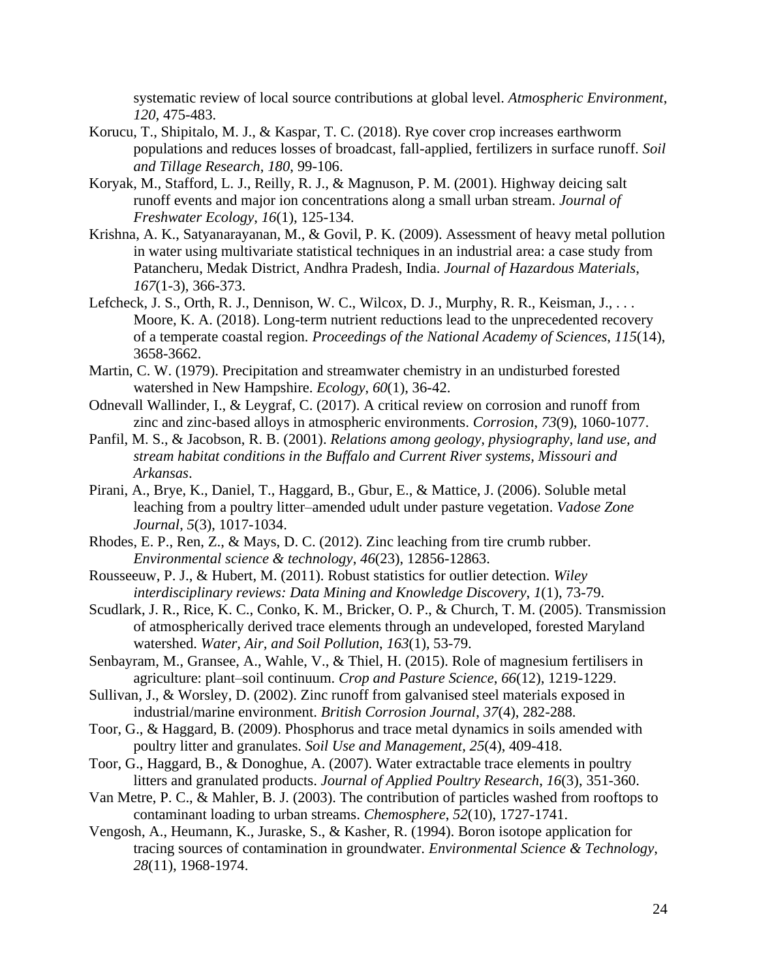systematic review of local source contributions at global level. *Atmospheric Environment*, *120*, 475-483.

- Korucu, T., Shipitalo, M. J., & Kaspar, T. C. (2018). Rye cover crop increases earthworm populations and reduces losses of broadcast, fall-applied, fertilizers in surface runoff. *Soil and Tillage Research*, *180*, 99-106.
- Koryak, M., Stafford, L. J., Reilly, R. J., & Magnuson, P. M. (2001). Highway deicing salt runoff events and major ion concentrations along a small urban stream. *Journal of Freshwater Ecology*, *16*(1), 125-134.
- Krishna, A. K., Satyanarayanan, M., & Govil, P. K. (2009). Assessment of heavy metal pollution in water using multivariate statistical techniques in an industrial area: a case study from Patancheru, Medak District, Andhra Pradesh, India. *Journal of Hazardous Materials*, *167*(1-3), 366-373.
- Lefcheck, J. S., Orth, R. J., Dennison, W. C., Wilcox, D. J., Murphy, R. R., Keisman, J., . . . Moore, K. A. (2018). Long-term nutrient reductions lead to the unprecedented recovery of a temperate coastal region. *Proceedings of the National Academy of Sciences*, *115*(14), 3658-3662.
- Martin, C. W. (1979). Precipitation and streamwater chemistry in an undisturbed forested watershed in New Hampshire. *Ecology*, *60*(1), 36-42.
- Odnevall Wallinder, I., & Leygraf, C. (2017). A critical review on corrosion and runoff from zinc and zinc-based alloys in atmospheric environments. *Corrosion*, *73*(9), 1060-1077.
- Panfil, M. S., & Jacobson, R. B. (2001). *Relations among geology, physiography, land use, and stream habitat conditions in the Buffalo and Current River systems, Missouri and Arkansas*.
- Pirani, A., Brye, K., Daniel, T., Haggard, B., Gbur, E., & Mattice, J. (2006). Soluble metal leaching from a poultry litter–amended udult under pasture vegetation. *Vadose Zone Journal*, *5*(3), 1017-1034.
- Rhodes, E. P., Ren, Z., & Mays, D. C. (2012). Zinc leaching from tire crumb rubber. *Environmental science & technology*, *46*(23), 12856-12863.
- Rousseeuw, P. J., & Hubert, M. (2011). Robust statistics for outlier detection. *Wiley interdisciplinary reviews: Data Mining and Knowledge Discovery*, *1*(1), 73-79.
- Scudlark, J. R., Rice, K. C., Conko, K. M., Bricker, O. P., & Church, T. M. (2005). Transmission of atmospherically derived trace elements through an undeveloped, forested Maryland watershed. *Water, Air, and Soil Pollution*, *163*(1), 53-79.
- Senbayram, M., Gransee, A., Wahle, V., & Thiel, H. (2015). Role of magnesium fertilisers in agriculture: plant–soil continuum. *Crop and Pasture Science*, *66*(12), 1219-1229.
- Sullivan, J., & Worsley, D. (2002). Zinc runoff from galvanised steel materials exposed in industrial/marine environment. *British Corrosion Journal*, *37*(4), 282-288.
- Toor, G., & Haggard, B. (2009). Phosphorus and trace metal dynamics in soils amended with poultry litter and granulates. *Soil Use and Management*, *25*(4), 409-418.
- Toor, G., Haggard, B., & Donoghue, A. (2007). Water extractable trace elements in poultry litters and granulated products. *Journal of Applied Poultry Research*, *16*(3), 351-360.
- Van Metre, P. C., & Mahler, B. J. (2003). The contribution of particles washed from rooftops to contaminant loading to urban streams. *Chemosphere*, *52*(10), 1727-1741.
- Vengosh, A., Heumann, K., Juraske, S., & Kasher, R. (1994). Boron isotope application for tracing sources of contamination in groundwater. *Environmental Science & Technology*, *28*(11), 1968-1974.